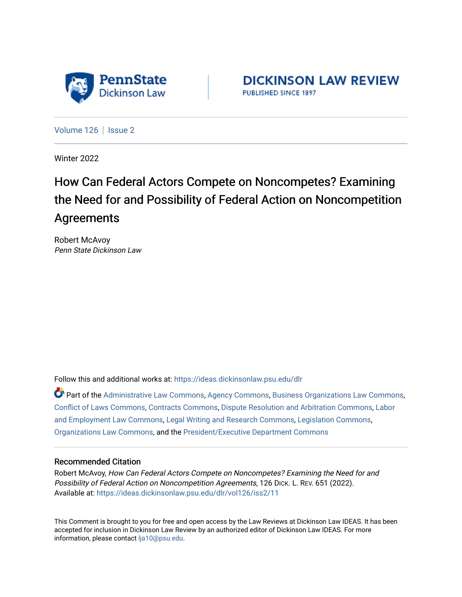

**DICKINSON LAW REVIEW** PUBLISHED SINCE 1897

[Volume 126](https://ideas.dickinsonlaw.psu.edu/dlr/vol126) | [Issue 2](https://ideas.dickinsonlaw.psu.edu/dlr/vol126/iss2)

Winter 2022

# How Can Federal Actors Compete on Noncompetes? Examining the Need for and Possibility of Federal Action on Noncompetition Agreements

Robert McAvoy Penn State Dickinson Law

Follow this and additional works at: [https://ideas.dickinsonlaw.psu.edu/dlr](https://ideas.dickinsonlaw.psu.edu/dlr?utm_source=ideas.dickinsonlaw.psu.edu%2Fdlr%2Fvol126%2Fiss2%2F11&utm_medium=PDF&utm_campaign=PDFCoverPages) 

Part of the [Administrative Law Commons,](http://network.bepress.com/hgg/discipline/579?utm_source=ideas.dickinsonlaw.psu.edu%2Fdlr%2Fvol126%2Fiss2%2F11&utm_medium=PDF&utm_campaign=PDFCoverPages) [Agency Commons,](http://network.bepress.com/hgg/discipline/829?utm_source=ideas.dickinsonlaw.psu.edu%2Fdlr%2Fvol126%2Fiss2%2F11&utm_medium=PDF&utm_campaign=PDFCoverPages) [Business Organizations Law Commons](http://network.bepress.com/hgg/discipline/900?utm_source=ideas.dickinsonlaw.psu.edu%2Fdlr%2Fvol126%2Fiss2%2F11&utm_medium=PDF&utm_campaign=PDFCoverPages), [Conflict of Laws Commons,](http://network.bepress.com/hgg/discipline/588?utm_source=ideas.dickinsonlaw.psu.edu%2Fdlr%2Fvol126%2Fiss2%2F11&utm_medium=PDF&utm_campaign=PDFCoverPages) [Contracts Commons,](http://network.bepress.com/hgg/discipline/591?utm_source=ideas.dickinsonlaw.psu.edu%2Fdlr%2Fvol126%2Fiss2%2F11&utm_medium=PDF&utm_campaign=PDFCoverPages) [Dispute Resolution and Arbitration Commons,](http://network.bepress.com/hgg/discipline/890?utm_source=ideas.dickinsonlaw.psu.edu%2Fdlr%2Fvol126%2Fiss2%2F11&utm_medium=PDF&utm_campaign=PDFCoverPages) [Labor](http://network.bepress.com/hgg/discipline/909?utm_source=ideas.dickinsonlaw.psu.edu%2Fdlr%2Fvol126%2Fiss2%2F11&utm_medium=PDF&utm_campaign=PDFCoverPages)  [and Employment Law Commons](http://network.bepress.com/hgg/discipline/909?utm_source=ideas.dickinsonlaw.psu.edu%2Fdlr%2Fvol126%2Fiss2%2F11&utm_medium=PDF&utm_campaign=PDFCoverPages), [Legal Writing and Research Commons](http://network.bepress.com/hgg/discipline/614?utm_source=ideas.dickinsonlaw.psu.edu%2Fdlr%2Fvol126%2Fiss2%2F11&utm_medium=PDF&utm_campaign=PDFCoverPages), [Legislation Commons,](http://network.bepress.com/hgg/discipline/859?utm_source=ideas.dickinsonlaw.psu.edu%2Fdlr%2Fvol126%2Fiss2%2F11&utm_medium=PDF&utm_campaign=PDFCoverPages) [Organizations Law Commons](http://network.bepress.com/hgg/discipline/865?utm_source=ideas.dickinsonlaw.psu.edu%2Fdlr%2Fvol126%2Fiss2%2F11&utm_medium=PDF&utm_campaign=PDFCoverPages), and the [President/Executive Department Commons](http://network.bepress.com/hgg/discipline/1118?utm_source=ideas.dickinsonlaw.psu.edu%2Fdlr%2Fvol126%2Fiss2%2F11&utm_medium=PDF&utm_campaign=PDFCoverPages)

#### Recommended Citation

Robert McAvoy, How Can Federal Actors Compete on Noncompetes? Examining the Need for and Possibility of Federal Action on Noncompetition Agreements, 126 DICK. L. REV. 651 (2022). Available at: [https://ideas.dickinsonlaw.psu.edu/dlr/vol126/iss2/11](https://ideas.dickinsonlaw.psu.edu/dlr/vol126/iss2/11?utm_source=ideas.dickinsonlaw.psu.edu%2Fdlr%2Fvol126%2Fiss2%2F11&utm_medium=PDF&utm_campaign=PDFCoverPages) 

This Comment is brought to you for free and open access by the Law Reviews at Dickinson Law IDEAS. It has been accepted for inclusion in Dickinson Law Review by an authorized editor of Dickinson Law IDEAS. For more information, please contact [lja10@psu.edu.](mailto:lja10@psu.edu)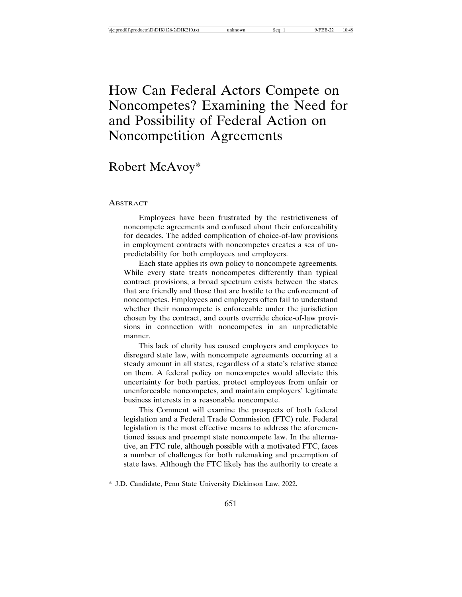## How Can Federal Actors Compete on Noncompetes? Examining the Need for and Possibility of Federal Action on Noncompetition Agreements

## Robert McAvoy\*

#### **ABSTRACT**

Employees have been frustrated by the restrictiveness of noncompete agreements and confused about their enforceability for decades. The added complication of choice-of-law provisions in employment contracts with noncompetes creates a sea of unpredictability for both employees and employers.

Each state applies its own policy to noncompete agreements. While every state treats noncompetes differently than typical contract provisions, a broad spectrum exists between the states that are friendly and those that are hostile to the enforcement of noncompetes. Employees and employers often fail to understand whether their noncompete is enforceable under the jurisdiction chosen by the contract, and courts override choice-of-law provisions in connection with noncompetes in an unpredictable manner.

This lack of clarity has caused employers and employees to disregard state law, with noncompete agreements occurring at a steady amount in all states, regardless of a state's relative stance on them. A federal policy on noncompetes would alleviate this uncertainty for both parties, protect employees from unfair or unenforceable noncompetes, and maintain employers' legitimate business interests in a reasonable noncompete.

This Comment will examine the prospects of both federal legislation and a Federal Trade Commission (FTC) rule. Federal legislation is the most effective means to address the aforementioned issues and preempt state noncompete law. In the alternative, an FTC rule, although possible with a motivated FTC, faces a number of challenges for both rulemaking and preemption of state laws. Although the FTC likely has the authority to create a

<sup>\*</sup> J.D. Candidate, Penn State University Dickinson Law, 2022.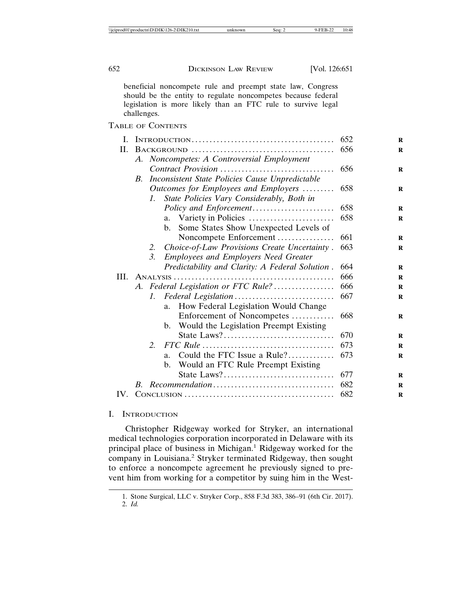beneficial noncompete rule and preempt state law, Congress should be the entity to regulate noncompetes because federal legislation is more likely than an FTC rule to survive legal challenges.

TABLE OF CONTENTS

| L.  |                                            |                                                 | 652                                                      |     |
|-----|--------------------------------------------|-------------------------------------------------|----------------------------------------------------------|-----|
| П.  |                                            |                                                 | 656                                                      |     |
|     | A. Noncompetes: A Controversial Employment |                                                 |                                                          |     |
|     |                                            |                                                 |                                                          | 656 |
|     | B.                                         | Inconsistent State Policies Cause Unpredictable |                                                          |     |
|     |                                            | Outcomes for Employees and Employers            | 658                                                      |     |
|     |                                            | $1_{-}$                                         |                                                          |     |
|     |                                            |                                                 |                                                          | 658 |
|     |                                            |                                                 |                                                          | 658 |
|     |                                            |                                                 | Some States Show Unexpected Levels of<br>$\mathbf{b}$ .  |     |
|     |                                            |                                                 | Noncompete Enforcement                                   | 661 |
|     |                                            | 2.                                              | Choice-of-Law Provisions Create Uncertainty.             | 663 |
|     |                                            | $\mathfrak{Z}$ .                                | <b>Employees and Employers Need Greater</b>              |     |
|     |                                            |                                                 | Predictability and Clarity: A Federal Solution.          | 664 |
|     |                                            |                                                 |                                                          | 666 |
|     | A. Federal Legislation or FTC Rule?        |                                                 |                                                          | 666 |
|     |                                            | 1.                                              |                                                          | 667 |
|     |                                            |                                                 | How Federal Legislation Would Change<br>a.               |     |
|     |                                            |                                                 | Enforcement of Noncompetes                               | 668 |
|     |                                            |                                                 | Would the Legislation Preempt Existing<br>$\mathbf{b}$ . |     |
|     |                                            |                                                 | State Laws?                                              | 670 |
|     |                                            | 2.                                              |                                                          | 673 |
|     |                                            |                                                 | Could the FTC Issue a Rule?<br>a.                        | 673 |
|     |                                            |                                                 | Would an FTC Rule Preempt Existing<br>$\mathbf{b}$ .     |     |
|     |                                            |                                                 | State Laws?                                              | 677 |
|     | $B_{\cdot}$                                |                                                 |                                                          | 682 |
| IV. |                                            |                                                 |                                                          | 682 |

#### I. INTRODUCTION

Christopher Ridgeway worked for Stryker, an international medical technologies corporation incorporated in Delaware with its principal place of business in Michigan.<sup>1</sup> Ridgeway worked for the company in Louisiana.<sup>2</sup> Stryker terminated Ridgeway, then sought to enforce a noncompete agreement he previously signed to prevent him from working for a competitor by suing him in the West-

<sup>1.</sup> Stone Surgical, LLC v. Stryker Corp., 858 F.3d 383, 386–91 (6th Cir. 2017).

<sup>2.</sup> *Id.*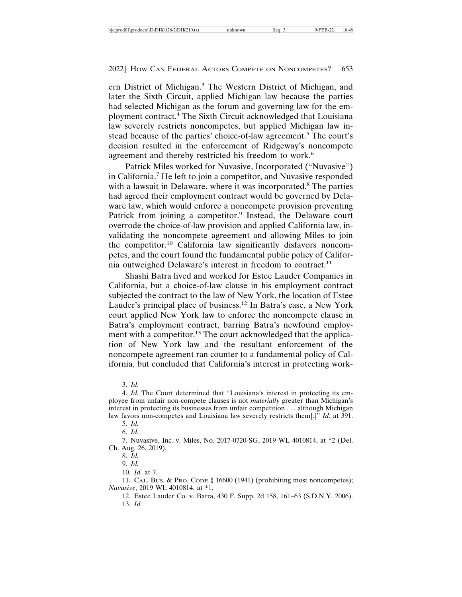ern District of Michigan.<sup>3</sup> The Western District of Michigan, and later the Sixth Circuit, applied Michigan law because the parties had selected Michigan as the forum and governing law for the employment contract.<sup>4</sup> The Sixth Circuit acknowledged that Louisiana law severely restricts noncompetes, but applied Michigan law instead because of the parties' choice-of-law agreement.<sup>5</sup> The court's decision resulted in the enforcement of Ridgeway's noncompete agreement and thereby restricted his freedom to work.<sup>6</sup>

Patrick Miles worked for Nuvasive, Incorporated ("Nuvasive") in California.<sup>7</sup> He left to join a competitor, and Nuvasive responded with a lawsuit in Delaware, where it was incorporated.<sup>8</sup> The parties had agreed their employment contract would be governed by Delaware law, which would enforce a noncompete provision preventing Patrick from joining a competitor.<sup>9</sup> Instead, the Delaware court overrode the choice-of-law provision and applied California law, invalidating the noncompete agreement and allowing Miles to join the competitor.10 California law significantly disfavors noncompetes, and the court found the fundamental public policy of California outweighed Delaware's interest in freedom to contract.<sup>11</sup>

Shashi Batra lived and worked for Estee Lauder Companies in California, but a choice-of-law clause in his employment contract subjected the contract to the law of New York, the location of Estee Lauder's principal place of business.<sup>12</sup> In Batra's case, a New York court applied New York law to enforce the noncompete clause in Batra's employment contract, barring Batra's newfound employment with a competitor.<sup>13</sup> The court acknowledged that the application of New York law and the resultant enforcement of the noncompete agreement ran counter to a fundamental policy of California, but concluded that California's interest in protecting work-

<sup>3.</sup> *Id*.

<sup>4.</sup> *Id.* The Court determined that "Louisiana's interest in protecting its employee from unfair non-compete clauses is not *materially* greater than Michigan's interest in protecting its businesses from unfair competition . . . although Michigan law favors non-competes and Louisiana law severely restricts them[.]" *Id.* at 391.

<sup>5.</sup> *Id.*

<sup>6.</sup> *Id.*

<sup>7.</sup> Nuvasive, Inc. v. Miles, No. 2017-0720-SG, 2019 WL 4010814, at \*2 (Del. Ch. Aug. 26, 2019).

<sup>8.</sup> *Id.*

<sup>9.</sup> *Id.*

<sup>10.</sup> *Id.* at 7.

<sup>11.</sup> CAL. BUS. & PRO. CODE § 16600 (1941) (prohibiting most noncompetes); *Nuvasive*, 2019 WL 4010814, at \*1.

<sup>12.</sup> Estee Lauder Co. v. Batra, 430 F. Supp. 2d 158, 161–63 (S.D.N.Y. 2006). 13. *Id.*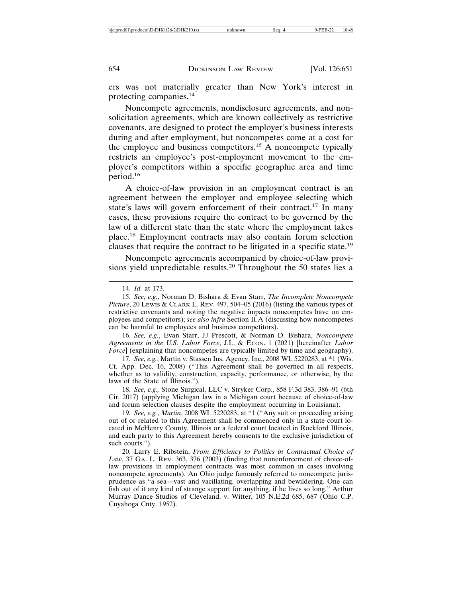ers was not materially greater than New York's interest in protecting companies.<sup>14</sup>

Noncompete agreements, nondisclosure agreements, and nonsolicitation agreements, which are known collectively as restrictive covenants, are designed to protect the employer's business interests during and after employment, but noncompetes come at a cost for the employee and business competitors.<sup>15</sup> A noncompete typically restricts an employee's post-employment movement to the employer's competitors within a specific geographic area and time period.16

A choice-of-law provision in an employment contract is an agreement between the employer and employee selecting which state's laws will govern enforcement of their contract.17 In many cases, these provisions require the contract to be governed by the law of a different state than the state where the employment takes place.18 Employment contracts may also contain forum selection clauses that require the contract to be litigated in a specific state.<sup>19</sup>

Noncompete agreements accompanied by choice-of-law provisions yield unpredictable results.20 Throughout the 50 states lies a

18. *See, e.g.,* Stone Surgical, LLC v. Stryker Corp., 858 F.3d 383, 386–91 (6th Cir. 2017) (applying Michigan law in a Michigan court because of choice-of-law and forum selection clauses despite the employment occurring in Louisiana).

19. *See, e.g.*, *Martin*, 2008 WL 5220283, at \*1 ("Any suit or proceeding arising out of or related to this Agreement shall be commenced only in a state court located in McHenry County, Illinois or a federal court located in Rockford Illinois, and each party to this Agreement hereby consents to the exclusive jurisdiction of such courts.").

20. Larry E. Ribstein, *From Efficiency to Politics in Contractual Choice of Law*, 37 GA. L. REV. 363, 376 (2003) (finding that nonenforcement of choice-oflaw provisions in employment contracts was most common in cases involving noncompete agreements). An Ohio judge famously referred to noncompete jurisprudence as "a sea—vast and vacillating, overlapping and bewildering. One can fish out of it any kind of strange support for anything, if he lives so long." Arthur Murray Dance Studios of Cleveland. v. Witter, 105 N.E.2d 685, 687 (Ohio C.P. Cuyahoga Cnty. 1952).

<sup>14.</sup> *Id.* at 173.

<sup>15.</sup> *See, e.g.*, Norman D. Bishara & Evan Starr, *The Incomplete Noncompete Picture*, 20 LEWIS & CLARK L. REV. 497, 504–05 (2016) (listing the various types of restrictive covenants and noting the negative impacts noncompetes have on employees and competitors); *see also infra* Section II.A (discussing how noncompetes can be harmful to employees and business competitors).

<sup>16.</sup> *See, e.g.*, Evan Starr, JJ Prescott, & Norman D. Bishara, *Noncompete Agreements in the U.S. Labor Force*, J.L. & ECON. 1 (2021) [hereinafter *Labor Force*] (explaining that noncompetes are typically limited by time and geography).

<sup>17.</sup> *See, e.g.*, Martin v. Stassen Ins. Agency, Inc., 2008 WL 5220283, at \*1 (Wis. Ct. App. Dec. 16, 2008) ("This Agreement shall be governed in all respects, whether as to validity, construction, capacity, performance, or otherwise, by the laws of the State of Illinois.").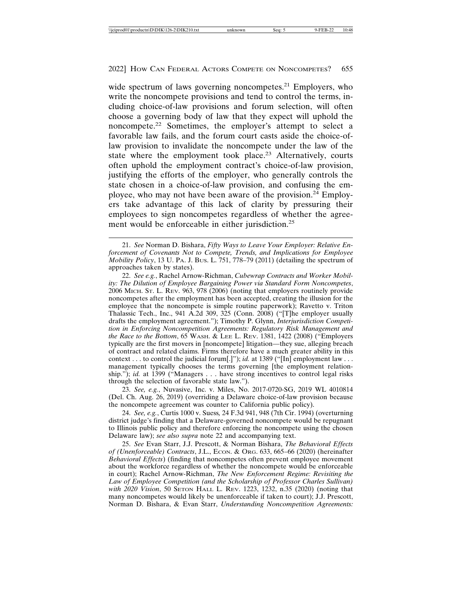wide spectrum of laws governing noncompetes.<sup>21</sup> Employers, who write the noncompete provisions and tend to control the terms, including choice-of-law provisions and forum selection, will often choose a governing body of law that they expect will uphold the noncompete.22 Sometimes, the employer's attempt to select a favorable law fails, and the forum court casts aside the choice-oflaw provision to invalidate the noncompete under the law of the state where the employment took place.<sup>23</sup> Alternatively, courts often uphold the employment contract's choice-of-law provision, justifying the efforts of the employer, who generally controls the state chosen in a choice-of-law provision, and confusing the employee, who may not have been aware of the provision.<sup>24</sup> Employers take advantage of this lack of clarity by pressuring their employees to sign noncompetes regardless of whether the agreement would be enforceable in either jurisdiction.<sup>25</sup>

22. *See e.g.*, Rachel Arnow-Richman, *Cubewrap Contracts and Worker Mobility: The Dilution of Employee Bargaining Power via Standard Form Noncompetes*, 2006 MICH. ST. L. REV. 963, 978 (2006) (noting that employers routinely provide noncompetes after the employment has been accepted, creating the illusion for the employee that the noncompete is simple routine paperwork); Ravetto v. Triton Thalassic Tech., Inc., 941 A.2d 309, 325 (Conn. 2008) ("[T]he employer usually drafts the employment agreement."); Timothy P. Glynn, *Interjurisdiction Competition in Enforcing Noncompetition Agreements: Regulatory Risk Management and the Race to the Bottom*, 65 WASH. & LEE L. REV. 1381, 1422 (2008) ("Employers typically are the first movers in [noncompete] litigation—they sue, alleging breach of contract and related claims. Firms therefore have a much greater ability in this context . . . to control the judicial forum[.]"); *id.* at 1389 ("[In] employment law . . . management typically chooses the terms governing [the employment relationship."); *id.* at 1399 ("Managers . . . have strong incentives to control legal risks through the selection of favorable state law.").

23. *See, e.g.*, Nuvasive, Inc. v. Miles, No. 2017-0720-SG, 2019 WL 4010814 (Del. Ch. Aug. 26, 2019) (overriding a Delaware choice-of-law provision because the noncompete agreement was counter to California public policy).

24. *See, e.g.*, Curtis 1000 v. Suess*,* 24 F.3d 941, 948 (7th Cir. 1994) (overturning district judge's finding that a Delaware-governed noncompete would be repugnant to Illinois public policy and therefore enforcing the noncompete using the chosen Delaware law); *see also supra* note 22 and accompanying text.

25. *See* Evan Starr, J.J. Prescott, & Norman Bishara, *The Behavioral Effects of (Unenforceable) Contracts*, J.L., ECON. & ORG. 633, 665–66 (2020) (hereinafter *Behavioral Effects*) (finding that noncompetes often prevent employee movement about the workforce regardless of whether the noncompete would be enforceable in court); Rachel Arnow-Richman, *The New Enforcement Regime: Revisiting the Law of Employee Competition (and the Scholarship of Professor Charles Sullivan) with 2020 Vision*, 50 SETON HALL L. REV. 1223, 1232, n.35 (2020) (noting that many noncompetes would likely be unenforceable if taken to court); J.J. Prescott, Norman D. Bishara, & Evan Starr, *Understanding Noncompetition Agreements:*

<sup>21.</sup> *See* Norman D. Bishara, *Fifty Ways to Leave Your Employer: Relative Enforcement of Covenants Not to Compete, Trends, and Implications for Employee Mobility Policy*, 13 U. PA. J. BUS. L. 751, 778–79 (2011) (detailing the spectrum of approaches taken by states).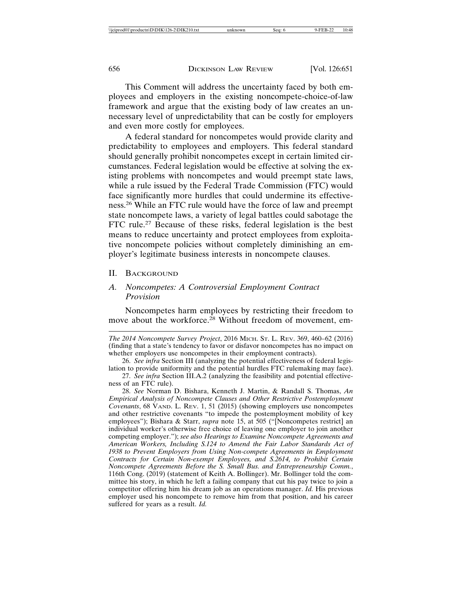This Comment will address the uncertainty faced by both employees and employers in the existing noncompete-choice-of-law framework and argue that the existing body of law creates an unnecessary level of unpredictability that can be costly for employers and even more costly for employees.

A federal standard for noncompetes would provide clarity and predictability to employees and employers. This federal standard should generally prohibit noncompetes except in certain limited circumstances. Federal legislation would be effective at solving the existing problems with noncompetes and would preempt state laws, while a rule issued by the Federal Trade Commission (FTC) would face significantly more hurdles that could undermine its effectiveness.26 While an FTC rule would have the force of law and preempt state noncompete laws, a variety of legal battles could sabotage the FTC rule.<sup>27</sup> Because of these risks, federal legislation is the best means to reduce uncertainty and protect employees from exploitative noncompete policies without completely diminishing an employer's legitimate business interests in noncompete clauses.

#### II. BACKGROUND

#### *A. Noncompetes: A Controversial Employment Contract Provision*

Noncompetes harm employees by restricting their freedom to move about the workforce.<sup>28</sup> Without freedom of movement, em-

26. *See infra* Section III (analyzing the potential effectiveness of federal legislation to provide uniformity and the potential hurdles FTC rulemaking may face).

*The 2014 Noncompete Survey Project*, 2016 MICH. ST. L. REV. 369, 460–62 (2016) (finding that a state's tendency to favor or disfavor noncompetes has no impact on whether employers use noncompetes in their employment contracts).

<sup>27.</sup> *See infra* Section III.A.2 (analyzing the feasibility and potential effectiveness of an FTC rule).

<sup>28.</sup> *See* Norman D. Bishara, Kenneth J. Martin, & Randall S. Thomas, *An Empirical Analysis of Noncompete Clauses and Other Restrictive Postemployment Covenants*, 68 VAND. L. REV. 1, 51 (2015) (showing employers use noncompetes and other restrictive covenants "to impede the postemployment mobility of key employees"); Bishara & Starr, *supra* note 15, at 505 ("[Noncompetes restrict] an individual worker's otherwise free choice of leaving one employer to join another competing employer."); *see also Hearings to Examine Noncompete Agreements and American Workers, Including S.124 to Amend the Fair Labor Standards Act of 1938 to Prevent Employers from Using Non-compete Agreements in Employment Contracts for Certain Non-exempt Employees, and S.2614, to Prohibit Certain Noncompete Agreements Before the S. Small Bus. and Entrepreneurship Comm.*, 116th Cong. (2019) (statement of Keith A. Bollinger). Mr. Bollinger told the committee his story, in which he left a failing company that cut his pay twice to join a competitor offering him his dream job as an operations manager. *Id.* His previous employer used his noncompete to remove him from that position, and his career suffered for years as a result. *Id.*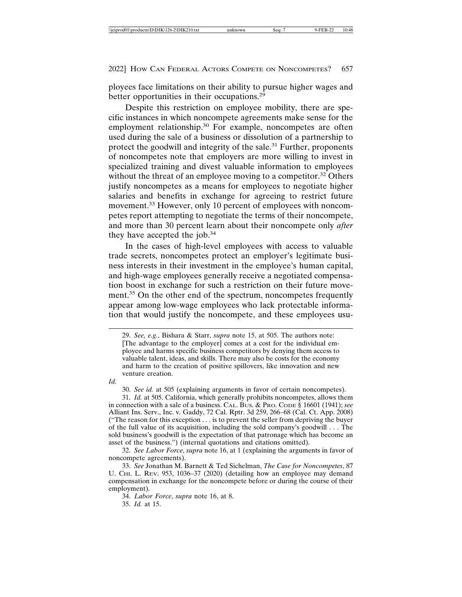ployees face limitations on their ability to pursue higher wages and better opportunities in their occupations.<sup>29</sup>

Despite this restriction on employee mobility, there are specific instances in which noncompete agreements make sense for the employment relationship.<sup>30</sup> For example, noncompetes are often used during the sale of a business or dissolution of a partnership to protect the goodwill and integrity of the sale.<sup>31</sup> Further, proponents of noncompetes note that employers are more willing to invest in specialized training and divest valuable information to employees without the threat of an employee moving to a competitor.<sup>32</sup> Others justify noncompetes as a means for employees to negotiate higher salaries and benefits in exchange for agreeing to restrict future movement.<sup>33</sup> However, only 10 percent of employees with noncompetes report attempting to negotiate the terms of their noncompete, and more than 30 percent learn about their noncompete only *after* they have accepted the job. $34$ 

In the cases of high-level employees with access to valuable trade secrets, noncompetes protect an employer's legitimate business interests in their investment in the employee's human capital, and high-wage employees generally receive a negotiated compensation boost in exchange for such a restriction on their future movement.<sup>35</sup> On the other end of the spectrum, noncompetes frequently appear among low-wage employees who lack protectable information that would justify the noncompete, and these employees usu-

29. *See, e.g.*, Bishara & Starr, *supra* note 15, at 505. The authors note: [The advantage to the employer] comes at a cost for the individual employee and harms specific business competitors by denying them access to valuable talent, ideas, and skills. There may also be costs for the economy and harm to the creation of positive spillovers, like innovation and new venture creation.

*Id.*

30. *See id.* at 505 (explaining arguments in favor of certain noncompetes).

31. *Id.* at 505. California, which generally prohibits noncompetes, allows them in connection with a sale of a business. CAL. BUS. & PRO. CODE § 16601 (1941); *see* Alliant Ins. Serv., Inc. v. Gaddy, 72 Cal. Rptr. 3d 259, 266–68 (Cal. Ct. App. 2008) ("The reason for this exception . . . is to prevent the seller from depriving the buyer of the full value of its acquisition, including the sold company's goodwill . . . The sold business's goodwill is the expectation of that patronage which has become an asset of the business.") (internal quotations and citations omitted).

32. *See Labor Force*, *supra* note 16, at 1 (explaining the arguments in favor of noncompete agreements).

33. *See* Jonathan M. Barnett & Ted Sichelman, *The Case for Noncompetes*, 87 U. CHI. L. REV. 953, 1036-37 (2020) (detailing how an employee may demand compensation in exchange for the noncompete before or during the course of their employment).

34. *Labor Force*, *supra* note 16, at 8.

35. *Id.* at 15.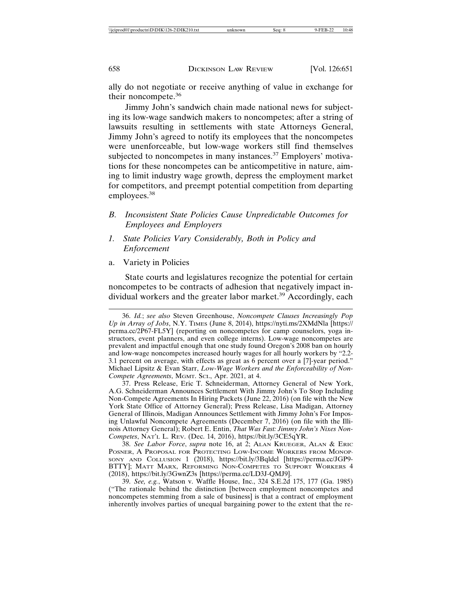ally do not negotiate or receive anything of value in exchange for their noncompete.<sup>36</sup>

Jimmy John's sandwich chain made national news for subjecting its low-wage sandwich makers to noncompetes; after a string of lawsuits resulting in settlements with state Attorneys General, Jimmy John's agreed to notify its employees that the noncompetes were unenforceable, but low-wage workers still find themselves subjected to noncompetes in many instances.<sup>37</sup> Employers' motivations for these noncompetes can be anticompetitive in nature, aiming to limit industry wage growth, depress the employment market for competitors, and preempt potential competition from departing employees.38

- *B. Inconsistent State Policies Cause Unpredictable Outcomes for Employees and Employers*
- *1. State Policies Vary Considerably, Both in Policy and Enforcement*
- a. Variety in Policies

State courts and legislatures recognize the potential for certain noncompetes to be contracts of adhesion that negatively impact individual workers and the greater labor market.<sup>39</sup> Accordingly, each

37. Press Release, Eric T. Schneiderman, Attorney General of New York, A.G. Schneiderman Announces Settlement With Jimmy John's To Stop Including Non-Compete Agreements In Hiring Packets (June 22, 2016) (on file with the New York State Office of Attorney General); Press Release, Lisa Madigan, Attorney General of Illinois, Madigan Announces Settlement with Jimmy John's For Imposing Unlawful Noncompete Agreements (December 7, 2016) (on file with the Illinois Attorney General); Robert E. Entin, *That Was Fast: Jimmy John's Nixes Non-Competes*, NAT'L L. REV. (Dec. 14, 2016), https://bit.ly/3CE5qYR.

38. *See Labor Force*, *supra* note 16, at 2; ALAN KRUEGER, ALAN & ERIC POSNER, A PROPOSAL FOR PROTECTING LOW-INCOME WORKERS FROM MONOP-SONY AND COLLUSION 1 (2018), https://bit.ly/3Bqldcl [https://perma.cc/JGP9- BTTY]; MATT MARX, REFORMING NON-COMPETES TO SUPPORT WORKERS 4 (2018), https://bit.ly/3GwnZ3s [https://perma.cc/LD3J-QMJ9].

39. *See, e.g.*, Watson v. Waffle House, Inc., 324 S.E.2d 175, 177 (Ga. 1985) ("The rationale behind the distinction [between employment noncompetes and noncompetes stemming from a sale of business] is that a contract of employment inherently involves parties of unequal bargaining power to the extent that the re-

<sup>36.</sup> *Id.*; *see also* Steven Greenhouse, *Noncompete Clauses Increasingly Pop Up in Array of Jobs*, N.Y. TIMES (June 8, 2014), https://nyti.ms/2XMdNla [https:// perma.cc/2P67-FL5Y] (reporting on noncompetes for camp counselors, yoga instructors, event planners, and even college interns). Low-wage noncompetes are prevalent and impactful enough that one study found Oregon's 2008 ban on hourly and low-wage noncompetes increased hourly wages for all hourly workers by "2.2- 3.1 percent on average, with effects as great as 6 percent over a [7]-year period." Michael Lipsitz & Evan Starr, *Low-Wage Workers and the Enforceability of Non-Compete Agreements*, MGMT. SCI., Apr. 2021, at 4.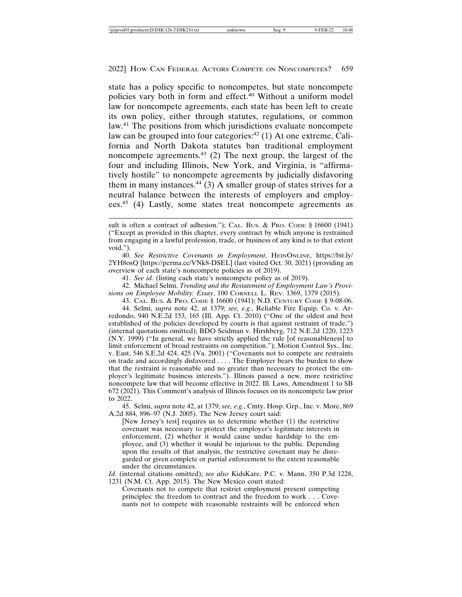state has a policy specific to noncompetes, but state noncompete policies vary both in form and effect.<sup>40</sup> Without a uniform model law for noncompete agreements, each state has been left to create its own policy, either through statutes, regulations, or common law.<sup>41</sup> The positions from which jurisdictions evaluate noncompete law can be grouped into four categories: $42$  (1) At one extreme, California and North Dakota statutes ban traditional employment noncompete agreements.43 (2) The next group, the largest of the four and including Illinois, New York, and Virginia, is "affirmatively hostile" to noncompete agreements by judicially disfavoring them in many instances. $44$  (3) A smaller group of states strives for a neutral balance between the interests of employers and employees.45 (4) Lastly, some states treat noncompete agreements as

40. *See Restrictive Covenants in Employment*, HEINONLINE, https://bit.ly/ 2YH8osQ [https://perma.cc/VNk8-DSEL] (last visited Oct. 30, 2021) (providing an overview of each state's noncompete policies as of 2019).

41. *See id.* (listing each state's noncompete policy as of 2019).

42. Michael Selmi, *Trending and the Restatement of Employment Law's Provisions on Employee Mobility: Essay*, 100 CORNELL L. REV. 1369, 1379 (2015).

43. CAL. BUS. & PRO. CODE § 16600 (1941); N.D. CENTURY CODE § 9-08-06.

44. Selmi, *supra* note 42, at 1379; *see, e.g.*, Reliable Fire Equip. Co. v. Arredondo, 940 N.E.2d 153, 165 (Ill. App. Ct. 2010) ("One of the oldest and best established of the policies developed by courts is that against restraint of trade.") (internal quotations omitted); BDO Seidman v. Hirshberg, 712 N.E.2d 1220, 1223 (N.Y. 1999) ("In general, we have strictly applied the rule [of reasonableness] to limit enforcement of broad restraints on competition."); Motion Control Sys., Inc. v. East, 546 S.E.2d 424, 425 (Va. 2001) ("Covenants not to compete are restraints on trade and accordingly disfavored . . . . The Employer bears the burden to show that the restraint is reasonable and no greater than necessary to protect the employer's legitimate business interests."). Illinois passed a new, more restrictive noncompete law that will become effective in 2022. Ill. Laws, Amendment 1 to SB 672 (2021). This Comment's analysis of Illinois focuses on its noncompete law prior to 2022.

45. Selmi, *supra* note 42, at 1379; *see, e.g.*, Cmty. Hosp. Grp., Inc. v. More, 869 A.2d 884, 896–97 (N.J. 2005). The New Jersey court said:

[New Jersey's test] requires us to determine whether (1) the restrictive covenant was necessary to protect the employer's legitimate interests in enforcement, (2) whether it would cause undue hardship to the employee, and (3) whether it would be injurious to the public. Depending upon the results of that analysis, the restrictive covenant may be disregarded or given complete or partial enforcement to the extent reasonable under the circumstances.

*Id.* (internal citations omitted); *see also* KidsKare, P.C. v. Mann, 350 P.3d 1228, 1231 (N.M. Ct. App. 2015). The New Mexico court stated:

Covenants not to compete that restrict employment present competing principles: the freedom to contract and the freedom to work . . . Covenants not to compete with reasonable restraints will be enforced when

sult is often a contract of adhesion."); CAL. Bus. & PRO. CODE § 16600 (1941) ("Except as provided in this chapter, every contract by which anyone is restrained from engaging in a lawful profession, trade, or business of any kind is to that extent void.").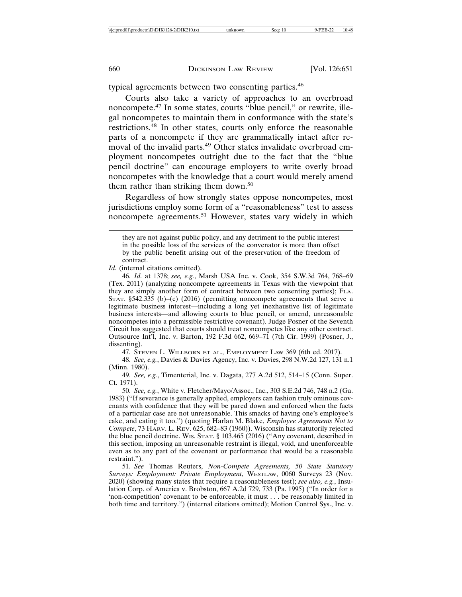typical agreements between two consenting parties.<sup>46</sup>

Courts also take a variety of approaches to an overbroad noncompete.47 In some states, courts "blue pencil," or rewrite, illegal noncompetes to maintain them in conformance with the state's restrictions.48 In other states, courts only enforce the reasonable parts of a noncompete if they are grammatically intact after removal of the invalid parts.<sup>49</sup> Other states invalidate overbroad employment noncompetes outright due to the fact that the "blue pencil doctrine" can encourage employers to write overly broad noncompetes with the knowledge that a court would merely amend them rather than striking them down.<sup>50</sup>

Regardless of how strongly states oppose noncompetes, most jurisdictions employ some form of a "reasonableness" test to assess noncompete agreements.<sup>51</sup> However, states vary widely in which

*Id.* (internal citations omitted).

46. *Id.* at 1378; *see, e.g.*, Marsh USA Inc. v. Cook, 354 S.W.3d 764, 768–69 (Tex. 2011) (analyzing noncompete agreements in Texas with the viewpoint that they are simply another form of contract between two consenting parties); FLA. STAT. §542.335 (b)–(c) (2016) (permitting noncompete agreements that serve a legitimate business interest—including a long yet inexhaustive list of legitimate business interests—and allowing courts to blue pencil, or amend, unreasonable noncompetes into a permissible restrictive covenant). Judge Posner of the Seventh Circuit has suggested that courts should treat noncompetes like any other contract. Outsource Int'l, Inc. v. Barton, 192 F.3d 662, 669–71 (7th Cir. 1999) (Posner, J., dissenting).

47. STEVEN L. WILLBORN ET AL., EMPLOYMENT LAW 369 (6th ed. 2017).

48. *See, e.g.*, Davies & Davies Agency, Inc. v. Davies, 298 N.W.2d 127, 131 n.1 (Minn. 1980).

49. *See, e.g.*, Timenterial, Inc. v. Dagata, 277 A.2d 512, 514–15 (Conn. Super. Ct. 1971).

50. *See, e.g.*, White v. Fletcher/Mayo/Assoc., Inc., 303 S.E.2d 746, 748 n.2 (Ga. 1983) ("If severance is generally applied, employers can fashion truly ominous covenants with confidence that they will be pared down and enforced when the facts of a particular case are not unreasonable. This smacks of having one's employee's cake, and eating it too.") (quoting Harlan M. Blake, *Employee Agreements Not to Compete*, 73 HARV. L. REV. 625, 682–83 (1960)). Wisconsin has statutorily rejected the blue pencil doctrine. WIS. STAT. § 103.465 (2016) ("Any covenant, described in this section, imposing an unreasonable restraint is illegal, void, and unenforceable even as to any part of the covenant or performance that would be a reasonable restraint.").

51. *See* Thomas Reuters, *Non-Compete Agreements, 50 State Statutory Surveys: Employment: Private Employment*, WESTLAW, 0060 Surveys 23 (Nov. 2020) (showing many states that require a reasonableness test); *see also, e.g.*, Insulation Corp. of America v. Brobston, 667 A.2d 729, 733 (Pa. 1995) ("In order for a 'non-competition' covenant to be enforceable, it must . . . be reasonably limited in both time and territory.") (internal citations omitted); Motion Control Sys., Inc. v.

they are not against public policy, and any detriment to the public interest in the possible loss of the services of the convenator is more than offset by the public benefit arising out of the preservation of the freedom of contract.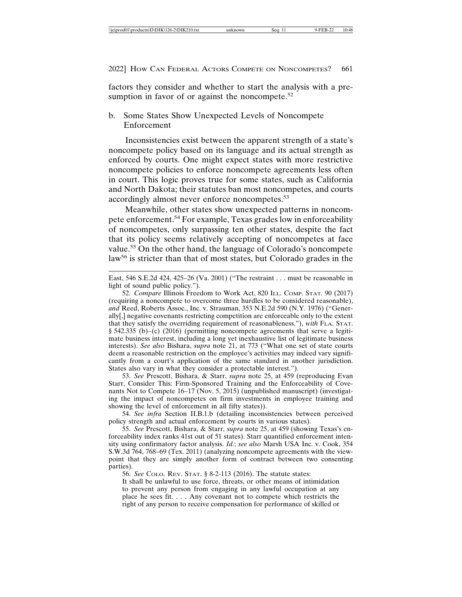factors they consider and whether to start the analysis with a presumption in favor of or against the noncompete. $52$ 

b. Some States Show Unexpected Levels of Noncompete Enforcement

Inconsistencies exist between the apparent strength of a state's noncompete policy based on its language and its actual strength as enforced by courts. One might expect states with more restrictive noncompete policies to enforce noncompete agreements less often in court. This logic proves true for some states, such as California and North Dakota; their statutes ban most noncompetes, and courts accordingly almost never enforce noncompetes.<sup>53</sup>

Meanwhile, other states show unexpected patterns in noncompete enforcement.54 For example, Texas grades low in enforceability of noncompetes, only surpassing ten other states, despite the fact that its policy seems relatively accepting of noncompetes at face value.55 On the other hand, the language of Colorado's noncompete law<sup>56</sup> is stricter than that of most states, but Colorado grades in the

53. *See* Prescott, Bishara, & Starr, *supra* note 25, at 459 (reproducing Evan Starr, Consider This: Firm-Sponsored Training and the Enforceability of Covenants Not to Compete 16–17 (Nov. 5, 2015) (unpublished manuscript) (investigating the impact of noncompetes on firm investments in employee training and showing the level of enforcement in all fifty states)).

54. *See infra* Section II.B.1.b (detailing inconsistencies between perceived policy strength and actual enforcement by courts in various states).

55. *See* Prescott, Bishara, & Starr, *supra* note 25, at 459 (showing Texas's enforceability index ranks 41st out of 51 states). Starr quantified enforcement intensity using confirmatory factor analysis. *Id.*; *see also* Marsh USA Inc. v. Cook, 354 S.W.3d 764, 768–69 (Tex. 2011) (analyzing noncompete agreements with the viewpoint that they are simply another form of contract between two consenting parties).

56. *See* COLO. REV. STAT. § 8-2-113 (2016). The statute states:

It shall be unlawful to use force, threats, or other means of intimidation to prevent any person from engaging in any lawful occupation at any place he sees fit. . . . Any covenant not to compete which restricts the right of any person to receive compensation for performance of skilled or

East, 546 S.E.2d 424, 425–26 (Va. 2001) ("The restraint . . . must be reasonable in light of sound public policy.").

<sup>52.</sup> *Compare* Illinois Freedom to Work Act, 820 ILL. COMP. STAT. 90 (2017) (requiring a noncompete to overcome three hurdles to be considered reasonable), *and* Reed, Roberts Assoc., Inc. v. Strauman, 353 N.E.2d 590 (N.Y. 1976) ("Generally[,] negative covenants restricting competition are enforceable only to the extent that they satisfy the overriding requirement of reasonableness."), *with* FLA. STAT. § 542.335 (b)–(c) (2016) (permitting noncompete agreements that serve a legitimate business interest, including a long yet inexhaustive list of legitimate business interests). *See also* Bishara, *supra* note 21, at 773 ("What one set of state courts deem a reasonable restriction on the employee's activities may indeed vary significantly from a court's application of the same standard in another jurisdiction. States also vary in what they consider a protectable interest.").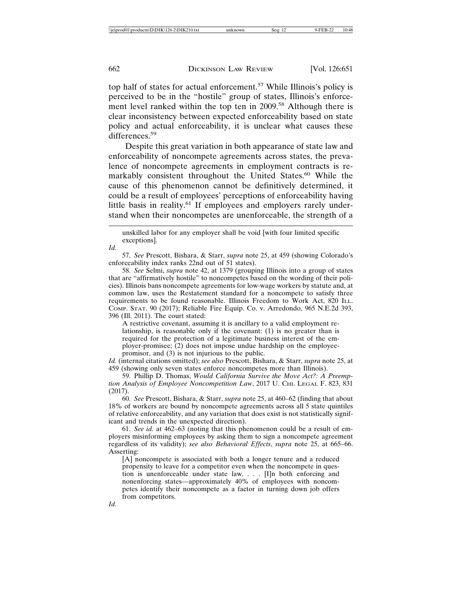top half of states for actual enforcement.57 While Illinois's policy is perceived to be in the "hostile" group of states, Illinois's enforcement level ranked within the top ten in 2009.<sup>58</sup> Although there is clear inconsistency between expected enforceability based on state policy and actual enforceability, it is unclear what causes these differences.<sup>59</sup>

Despite this great variation in both appearance of state law and enforceability of noncompete agreements across states, the prevalence of noncompete agreements in employment contracts is remarkably consistent throughout the United States.<sup>60</sup> While the cause of this phenomenon cannot be definitively determined, it could be a result of employees' perceptions of enforceability having little basis in reality.<sup>61</sup> If employees and employers rarely understand when their noncompetes are unenforceable, the strength of a

*Id.*

*Id.*

57. *See* Prescott, Bishara, & Starr, *supra* note 25, at 459 (showing Colorado's enforceability index ranks 22nd out of 51 states).

58. *See* Selmi, *supra* note 42, at 1379 (grouping Illinois into a group of states that are "affirmatively hostile" to noncompetes based on the wording of their policies). Illinois bans noncompete agreements for low-wage workers by statute and, at common law, uses the Restatement standard for a noncompete to satisfy three requirements to be found reasonable. Illinois Freedom to Work Act, 820 ILL. COMP. STAT. 90 (2017); Reliable Fire Equip. Co. v. Arredondo, 965 N.E.2d 393, 396 (Ill. 2011). The court stated:

A restrictive covenant, assuming it is ancillary to a valid employment relationship, is reasonable only if the covenant: (1) is no greater than is required for the protection of a legitimate business interest of the employer-promisee; (2) does not impose undue hardship on the employeepromisor, and (3) is not injurious to the public.

*Id.* (internal citations omitted); *see also* Prescott, Bishara, & Starr, *supra* note 25, at 459 (showing only seven states enforce noncompetes more than Illinois).

59. Phillip D. Thomas, *Would California Survive the Move Act?: A Preemption Analysis of Employee Noncompetition Law*, 2017 U. CHI. LEGAL F. 823, 831 (2017).

60. *See* Prescott, Bishara, & Starr, *supra* note 25, at 460–62 (finding that about 18% of workers are bound by noncompete agreements across all 5 state quintiles of relative enforceability, and any variation that does exist is not statistically significant and trends in the unexpected direction).

61. *See id.* at 462–63 (noting that this phenomenon could be a result of employers misinforming employees by asking them to sign a noncompete agreement regardless of its validity); *see also Behavioral Effects*, *supra* note 25, at 665–66. Asserting:

[A] noncompete is associated with both a longer tenure and a reduced propensity to leave for a competitor even when the noncompete in question is unenforceable under state law. . . . [I]n both enforcing and nonenforcing states—approximately 40% of employees with noncompetes identify their noncompete as a factor in turning down job offers from competitors.

unskilled labor for any employer shall be void [with four limited specific exceptions].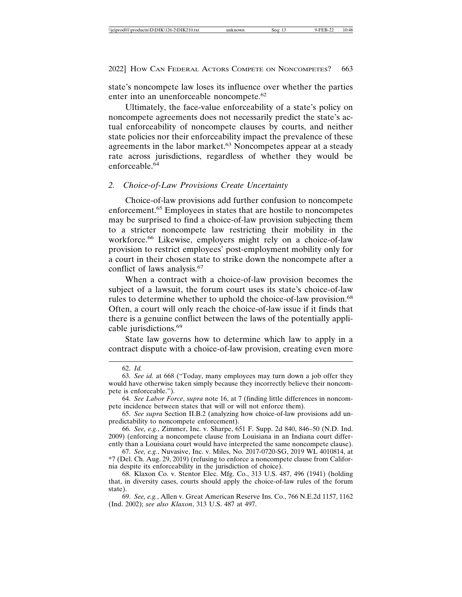state's noncompete law loses its influence over whether the parties enter into an unenforceable noncompete.<sup>62</sup>

Ultimately, the face-value enforceability of a state's policy on noncompete agreements does not necessarily predict the state's actual enforceability of noncompete clauses by courts, and neither state policies nor their enforceability impact the prevalence of these agreements in the labor market.<sup>63</sup> Noncompetes appear at a steady rate across jurisdictions, regardless of whether they would be enforceable. $64$ 

#### *2. Choice-of-Law Provisions Create Uncertainty*

Choice-of-law provisions add further confusion to noncompete enforcement.65 Employees in states that are hostile to noncompetes may be surprised to find a choice-of-law provision subjecting them to a stricter noncompete law restricting their mobility in the workforce.<sup>66</sup> Likewise, employers might rely on a choice-of-law provision to restrict employees' post-employment mobility only for a court in their chosen state to strike down the noncompete after a conflict of laws analysis.<sup>67</sup>

When a contract with a choice-of-law provision becomes the subject of a lawsuit, the forum court uses its state's choice-of-law rules to determine whether to uphold the choice-of-law provision.<sup>68</sup> Often, a court will only reach the choice-of-law issue if it finds that there is a genuine conflict between the laws of the potentially applicable jurisdictions.<sup>69</sup>

State law governs how to determine which law to apply in a contract dispute with a choice-of-law provision, creating even more

<sup>62.</sup> *Id.*

<sup>63.</sup> *See id.* at 668 ("Today, many employees may turn down a job offer they would have otherwise taken simply because they incorrectly believe their noncompete is enforceable.").

<sup>64.</sup> *See Labor Force*, *supra* note 16, at 7 (finding little differences in noncompete incidence between states that will or will not enforce them).

<sup>65.</sup> *See supra* Section II.B.2 (analyzing how choice-of-law provisions add unpredictability to noncompete enforcement).

<sup>66.</sup> *See, e.g.*, Zimmer, Inc. v. Sharpe, 651 F. Supp. 2d 840, 846–50 (N.D. Ind. 2009) (enforcing a noncompete clause from Louisiana in an Indiana court differently than a Louisiana court would have interpreted the same noncompete clause).

<sup>67.</sup> *See, e.g.*, Nuvasive, Inc. v. Miles, No. 2017-0720-SG, 2019 WL 4010814, at \*7 (Del. Ch. Aug. 29, 2019) (refusing to enforce a noncompete clause from California despite its enforceability in the jurisdiction of choice).

<sup>68.</sup> Klaxon Co. v. Stentor Elec. Mfg. Co., 313 U.S. 487, 496 (1941) (holding that, in diversity cases, courts should apply the choice-of-law rules of the forum state).

<sup>69.</sup> *See, e.g.*, Allen v. Great American Reserve Ins. Co., 766 N.E.2d 1157, 1162 (Ind. 2002); *see also Klaxon*, 313 U.S. 487 at 497.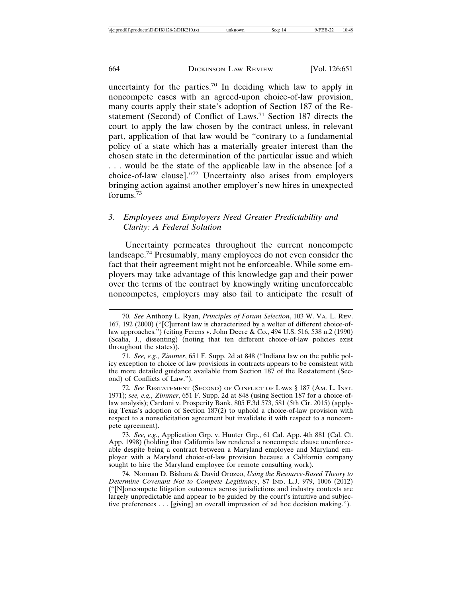uncertainty for the parties.70 In deciding which law to apply in noncompete cases with an agreed-upon choice-of-law provision, many courts apply their state's adoption of Section 187 of the Restatement (Second) of Conflict of Laws.71 Section 187 directs the court to apply the law chosen by the contract unless, in relevant part, application of that law would be "contrary to a fundamental policy of a state which has a materially greater interest than the chosen state in the determination of the particular issue and which . . . would be the state of the applicable law in the absence [of a choice-of-law clause]."72 Uncertainty also arises from employers bringing action against another employer's new hires in unexpected forums.<sup>73</sup>

#### *3. Employees and Employers Need Greater Predictability and Clarity: A Federal Solution*

Uncertainty permeates throughout the current noncompete landscape.74 Presumably, many employees do not even consider the fact that their agreement might not be enforceable. While some employers may take advantage of this knowledge gap and their power over the terms of the contract by knowingly writing unenforceable noncompetes, employers may also fail to anticipate the result of

71. *See, e.g.*, *Zimmer*, 651 F. Supp. 2d at 848 ("Indiana law on the public policy exception to choice of law provisions in contracts appears to be consistent with the more detailed guidance available from Section 187 of the Restatement (Second) of Conflicts of Law.").

72. *See* RESTATEMENT (SECOND) OF CONFLICT OF LAWS § 187 (AM. L. INST. 1971); *see, e.g.*, *Zimmer*, 651 F. Supp. 2d at 848 (using Section 187 for a choice-oflaw analysis); Cardoni v. Prosperity Bank, 805 F.3d 573, 581 (5th Cir. 2015) (applying Texas's adoption of Section 187(2) to uphold a choice-of-law provision with respect to a nonsolicitation agreement but invalidate it with respect to a noncompete agreement).

73. *See, e.g.*, Application Grp. v. Hunter Grp., 61 Cal. App. 4th 881 (Cal. Ct. App. 1998) (holding that California law rendered a noncompete clause unenforceable despite being a contract between a Maryland employee and Maryland employer with a Maryland choice-of-law provision because a California company sought to hire the Maryland employee for remote consulting work).

74. Norman D. Bishara & David Orozco, *Using the Resource-Based Theory to Determine Covenant Not to Compete Legitimacy*, 87 IND. L.J. 979, 1006 (2012) ("[N]oncompete litigation outcomes across jurisdictions and industry contexts are largely unpredictable and appear to be guided by the court's intuitive and subjective preferences . . . [giving] an overall impression of ad hoc decision making.").

<sup>70.</sup> *See* Anthony L. Ryan, *Principles of Forum Selection*, 103 W. VA. L. REV. 167, 192 (2000) ("[C]urrent law is characterized by a welter of different choice-oflaw approaches.") (citing Ferens v. John Deere & Co., 494 U.S. 516, 538 n.2 (1990) (Scalia, J., dissenting) (noting that ten different choice-of-law policies exist throughout the states)).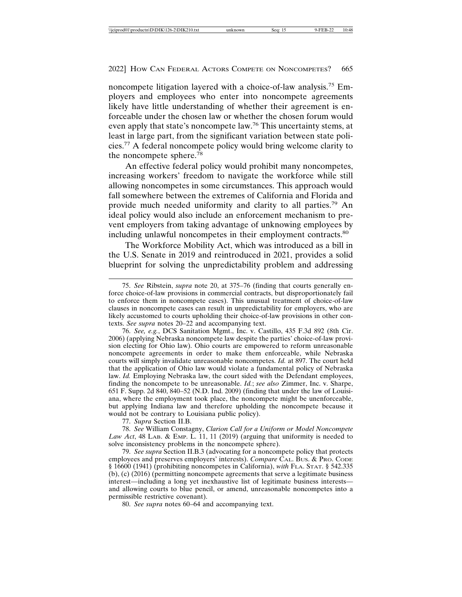noncompete litigation layered with a choice-of-law analysis.75 Employers and employees who enter into noncompete agreements likely have little understanding of whether their agreement is enforceable under the chosen law or whether the chosen forum would even apply that state's noncompete law.76 This uncertainty stems, at least in large part, from the significant variation between state policies.77 A federal noncompete policy would bring welcome clarity to the noncompete sphere.<sup>78</sup>

An effective federal policy would prohibit many noncompetes, increasing workers' freedom to navigate the workforce while still allowing noncompetes in some circumstances. This approach would fall somewhere between the extremes of California and Florida and provide much needed uniformity and clarity to all parties.79 An ideal policy would also include an enforcement mechanism to prevent employers from taking advantage of unknowing employees by including unlawful noncompetes in their employment contracts.<sup>80</sup>

The Workforce Mobility Act, which was introduced as a bill in the U.S. Senate in 2019 and reintroduced in 2021, provides a solid blueprint for solving the unpredictability problem and addressing

77. *Supra* Section II.B.

78. *See* William Constagny, *Clarion Call for a Uniform or Model Noncompete Law Act*, 48 LAB. & EMP. L. 11, 11 (2019) (arguing that uniformity is needed to solve inconsistency problems in the noncompete sphere).

79. *See supra* Section II.B.3 (advocating for a noncompete policy that protects employees and preserves employers' interests). *Compare* CAL. BUS. & PRO. CODE § 16600 (1941) (prohibiting noncompetes in California), *with* FLA. STAT. § 542.335  $(b)$ , (c)  $(2016)$  (permitting noncompete agreements that serve a legitimate business interest—including a long yet inexhaustive list of legitimate business interests and allowing courts to blue pencil, or amend, unreasonable noncompetes into a permissible restrictive covenant).

80. *See supra* notes 60–64 and accompanying text.

<sup>75.</sup> *See* Ribstein, *supra* note 20, at 375–76 (finding that courts generally enforce choice-of-law provisions in commercial contracts, but disproportionately fail to enforce them in noncompete cases). This unusual treatment of choice-of-law clauses in noncompete cases can result in unpredictability for employers, who are likely accustomed to courts upholding their choice-of-law provisions in other contexts. *See supra* notes 20–22 and accompanying text.

<sup>76.</sup> *See, e.g.*, DCS Sanitation Mgmt., Inc. v. Castillo, 435 F.3d 892 (8th Cir. 2006) (applying Nebraska noncompete law despite the parties' choice-of-law provision electing for Ohio law). Ohio courts are empowered to reform unreasonable noncompete agreements in order to make them enforceable, while Nebraska courts will simply invalidate unreasonable noncompetes. *Id.* at 897. The court held that the application of Ohio law would violate a fundamental policy of Nebraska law. *Id.* Employing Nebraska law, the court sided with the Defendant employees, finding the noncompete to be unreasonable. *Id.*; *see also* Zimmer, Inc. v. Sharpe, 651 F. Supp. 2d 840, 840–52 (N.D. Ind. 2009) (finding that under the law of Louisiana, where the employment took place, the noncompete might be unenforceable, but applying Indiana law and therefore upholding the noncompete because it would not be contrary to Louisiana public policy).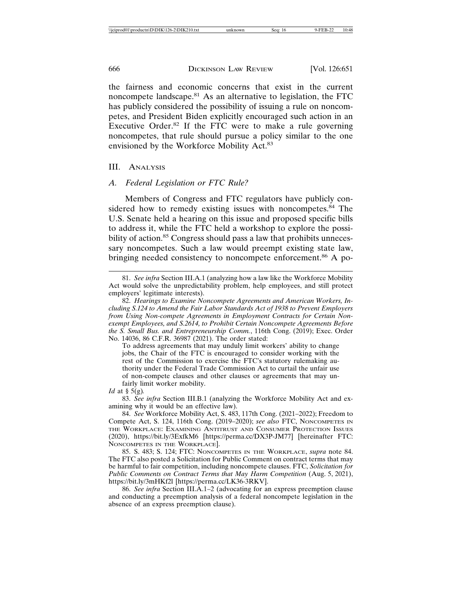the fairness and economic concerns that exist in the current noncompete landscape.81 As an alternative to legislation, the FTC has publicly considered the possibility of issuing a rule on noncompetes, and President Biden explicitly encouraged such action in an Executive Order. $82$  If the FTC were to make a rule governing noncompetes, that rule should pursue a policy similar to the one envisioned by the Workforce Mobility Act.<sup>83</sup>

#### III. ANALYSIS

#### *A. Federal Legislation or FTC Rule?*

Members of Congress and FTC regulators have publicly considered how to remedy existing issues with noncompetes. $84$  The U.S. Senate held a hearing on this issue and proposed specific bills to address it, while the FTC held a workshop to explore the possibility of action.<sup>85</sup> Congress should pass a law that prohibits unnecessary noncompetes. Such a law would preempt existing state law, bringing needed consistency to noncompete enforcement.<sup>86</sup> A po-

To address agreements that may unduly limit workers' ability to change jobs, the Chair of the FTC is encouraged to consider working with the rest of the Commission to exercise the FTC's statutory rulemaking authority under the Federal Trade Commission Act to curtail the unfair use of non-compete clauses and other clauses or agreements that may unfairly limit worker mobility.

83. *See infra* Section III.B.1 (analyzing the Workforce Mobility Act and examining why it would be an effective law).

84. *See* Workforce Mobility Act, S. 483, 117th Cong. (2021–2022); Freedom to Compete Act, S. 124, 116th Cong. (2019–2020); *see also* FTC, NONCOMPETES IN THE WORKPLACE: EXAMINING ANTITRUST AND CONSUMER PROTECTION ISSUES (2020), https://bit.ly/3ExfkM6 [https://perma.cc/DX3P-JM77] [hereinafter FTC: NONCOMPETES IN THE WORKPLACE].

85. S. 483; S. 124; FTC: NONCOMPETES IN THE WORKPLACE, *supra* note 84. The FTC also posted a Solicitation for Public Comment on contract terms that may be harmful to fair competition, including noncompete clauses. FTC, *Solicitation for Public Comments on Contract Terms that May Harm Competition* (Aug. 5, 2021), https://bit.ly/3mHKf2l [https://perma.cc/LK36-3RKV].

86. *See infra* Section III.A.1–2 (advocating for an express preemption clause and conducting a preemption analysis of a federal noncompete legislation in the absence of an express preemption clause).

<sup>81.</sup> *See infra* Section III.A.1 (analyzing how a law like the Workforce Mobility Act would solve the unpredictability problem, help employees, and still protect employers' legitimate interests).

<sup>82.</sup> *Hearings to Examine Noncompete Agreements and American Workers, Including S.124 to Amend the Fair Labor Standards Act of 1938 to Prevent Employers from Using Non-compete Agreements in Employment Contracts for Certain Nonexempt Employees, and S.2614, to Prohibit Certain Noncompete Agreements Before the S. Small Bus. and Entrepreneurship Comm.*, 116th Cong. (2019); Exec. Order No. 14036, 86 C.F.R. 36987 (2021). The order stated:

*Id* at § 5(g)*.*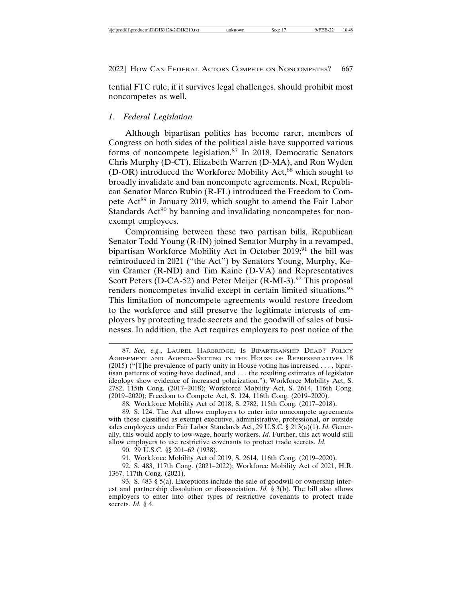tential FTC rule, if it survives legal challenges, should prohibit most noncompetes as well.

#### *1. Federal Legislation*

Although bipartisan politics has become rarer, members of Congress on both sides of the political aisle have supported various forms of noncompete legislation.87 In 2018, Democratic Senators Chris Murphy (D-CT), Elizabeth Warren (D-MA), and Ron Wyden (D-OR) introduced the Workforce Mobility Act,<sup>88</sup> which sought to broadly invalidate and ban noncompete agreements. Next, Republican Senator Marco Rubio (R-FL) introduced the Freedom to Compete Act<sup>89</sup> in January 2019, which sought to amend the Fair Labor Standards  $Act^{90}$  by banning and invalidating noncompetes for nonexempt employees.

Compromising between these two partisan bills, Republican Senator Todd Young (R-IN) joined Senator Murphy in a revamped, bipartisan Workforce Mobility Act in October 2019;<sup>91</sup> the bill was reintroduced in 2021 ("the Act") by Senators Young, Murphy, Kevin Cramer (R-ND) and Tim Kaine (D-VA) and Representatives Scott Peters (D-CA-52) and Peter Meijer (R-MI-3).<sup>92</sup> This proposal renders noncompetes invalid except in certain limited situations.<sup>93</sup> This limitation of noncompete agreements would restore freedom to the workforce and still preserve the legitimate interests of employers by protecting trade secrets and the goodwill of sales of businesses. In addition, the Act requires employers to post notice of the

90. 29 U.S.C. §§ 201–62 (1938).

91. Workforce Mobility Act of 2019, S. 2614, 116th Cong. (2019–2020).

92. S. 483, 117th Cong. (2021–2022); Workforce Mobility Act of 2021, H.R. 1367, 117th Cong. (2021).

93. S. 483  $\S$  5(a). Exceptions include the sale of goodwill or ownership interest and partnership dissolution or disassociation. *Id.* § 3(b). The bill also allows employers to enter into other types of restrictive covenants to protect trade secrets. *Id.* § 4.

<sup>87.</sup> *See, e.g.*, LAUREL HARBRIDGE, IS BIPARTISANSHIP DEAD? POLICY AGREEMENT AND AGENDA-SETTING IN THE HOUSE OF REPRESENTATIVES 18 (2015) ("[T]he prevalence of party unity in House voting has increased . . . , bipartisan patterns of voting have declined, and . . . the resulting estimates of legislator ideology show evidence of increased polarization."); Workforce Mobility Act, S. 2782, 115th Cong. (2017–2018); Workforce Mobility Act, S. 2614, 116th Cong. (2019–2020); Freedom to Compete Act, S. 124, 116th Cong. (2019–2020).

<sup>88.</sup> Workforce Mobility Act of 2018, S. 2782, 115th Cong. (2017–2018).

<sup>89.</sup> S. 124. The Act allows employers to enter into noncompete agreements with those classified as exempt executive, administrative, professional, or outside sales employees under Fair Labor Standards Act, 29 U.S.C. § 213(a)(1). *Id.* Generally, this would apply to low-wage, hourly workers. *Id.* Further, this act would still allow employers to use restrictive covenants to protect trade secrets. *Id.*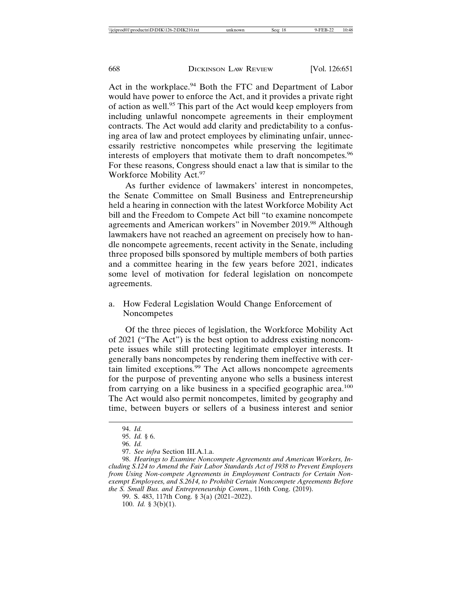Act in the workplace.<sup>94</sup> Both the FTC and Department of Labor would have power to enforce the Act, and it provides a private right of action as well.95 This part of the Act would keep employers from including unlawful noncompete agreements in their employment contracts. The Act would add clarity and predictability to a confusing area of law and protect employees by eliminating unfair, unnecessarily restrictive noncompetes while preserving the legitimate interests of employers that motivate them to draft noncompetes.<sup>96</sup> For these reasons, Congress should enact a law that is similar to the Workforce Mobility Act.<sup>97</sup>

As further evidence of lawmakers' interest in noncompetes, the Senate Committee on Small Business and Entrepreneurship held a hearing in connection with the latest Workforce Mobility Act bill and the Freedom to Compete Act bill "to examine noncompete agreements and American workers" in November 2019.98 Although lawmakers have not reached an agreement on precisely how to handle noncompete agreements, recent activity in the Senate, including three proposed bills sponsored by multiple members of both parties and a committee hearing in the few years before 2021, indicates some level of motivation for federal legislation on noncompete agreements.

### a. How Federal Legislation Would Change Enforcement of Noncompetes

Of the three pieces of legislation, the Workforce Mobility Act of 2021 ("The Act") is the best option to address existing noncompete issues while still protecting legitimate employer interests. It generally bans noncompetes by rendering them ineffective with certain limited exceptions.99 The Act allows noncompete agreements for the purpose of preventing anyone who sells a business interest from carrying on a like business in a specified geographic area.<sup>100</sup> The Act would also permit noncompetes, limited by geography and time, between buyers or sellers of a business interest and senior

<sup>94.</sup> *Id.*

<sup>95.</sup> *Id.* § 6.

<sup>96.</sup> *Id.*

<sup>97.</sup> *See infra* Section III.A.1.a.

<sup>98.</sup> *Hearings to Examine Noncompete Agreements and American Workers, Including S.124 to Amend the Fair Labor Standards Act of 1938 to Prevent Employers from Using Non-compete Agreements in Employment Contracts for Certain Nonexempt Employees, and S.2614, to Prohibit Certain Noncompete Agreements Before the S. Small Bus. and Entrepreneurship Comm.*, 116th Cong. (2019).

<sup>99.</sup> S. 483, 117th Cong. § 3(a) (2021–2022). 100. *Id.* § 3(b)(1).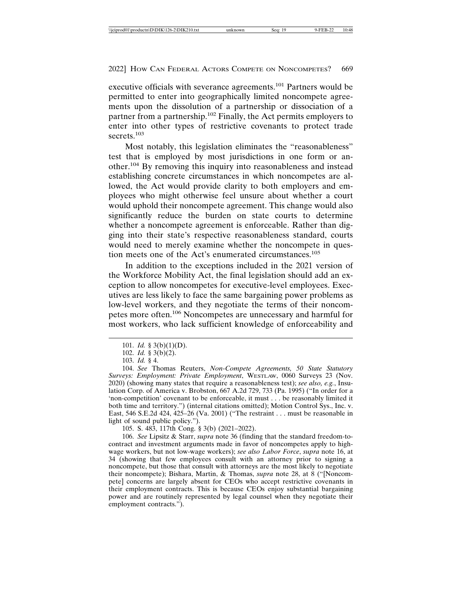executive officials with severance agreements.101 Partners would be permitted to enter into geographically limited noncompete agreements upon the dissolution of a partnership or dissociation of a partner from a partnership.<sup>102</sup> Finally, the Act permits employers to enter into other types of restrictive covenants to protect trade secrets.<sup>103</sup>

Most notably, this legislation eliminates the "reasonableness" test that is employed by most jurisdictions in one form or another.104 By removing this inquiry into reasonableness and instead establishing concrete circumstances in which noncompetes are allowed, the Act would provide clarity to both employers and employees who might otherwise feel unsure about whether a court would uphold their noncompete agreement. This change would also significantly reduce the burden on state courts to determine whether a noncompete agreement is enforceable. Rather than digging into their state's respective reasonableness standard, courts would need to merely examine whether the noncompete in question meets one of the Act's enumerated circumstances.<sup>105</sup>

In addition to the exceptions included in the 2021 version of the Workforce Mobility Act, the final legislation should add an exception to allow noncompetes for executive-level employees. Executives are less likely to face the same bargaining power problems as low-level workers, and they negotiate the terms of their noncompetes more often.106 Noncompetes are unnecessary and harmful for most workers, who lack sufficient knowledge of enforceability and

105. S. 483, 117th Cong. § 3(b) (2021–2022).

<sup>101.</sup> *Id.* § 3(b)(1)(D).

<sup>102.</sup> *Id.* § 3(b)(2).

<sup>103.</sup> *Id.* § 4.

<sup>104.</sup> *See* Thomas Reuters, *Non-Compete Agreements, 50 State Statutory Surveys: Employment: Private Employment*, WESTLAW, 0060 Surveys 23 (Nov. 2020) (showing many states that require a reasonableness test); *see also, e.g.*, Insulation Corp. of America v. Brobston, 667 A.2d 729, 733 (Pa. 1995) ("In order for a 'non-competition' covenant to be enforceable, it must . . . be reasonably limited it both time and territory.") (internal citations omitted); Motion Control Sys., Inc. v. East, 546 S.E.2d 424, 425–26 (Va. 2001) ("The restraint . . . must be reasonable in light of sound public policy.").

<sup>106.</sup> *See* Lipsitz & Starr, *supra* note 36 (finding that the standard freedom-tocontract and investment arguments made in favor of noncompetes apply to highwage workers, but not low-wage workers); *see also Labor Force*, *supra* note 16, at 34 (showing that few employees consult with an attorney prior to signing a noncompete, but those that consult with attorneys are the most likely to negotiate their noncompete); Bishara, Martin, & Thomas, *supra* note 28, at 8 ("[Noncompete] concerns are largely absent for CEOs who accept restrictive covenants in their employment contracts. This is because CEOs enjoy substantial bargaining power and are routinely represented by legal counsel when they negotiate their employment contracts.").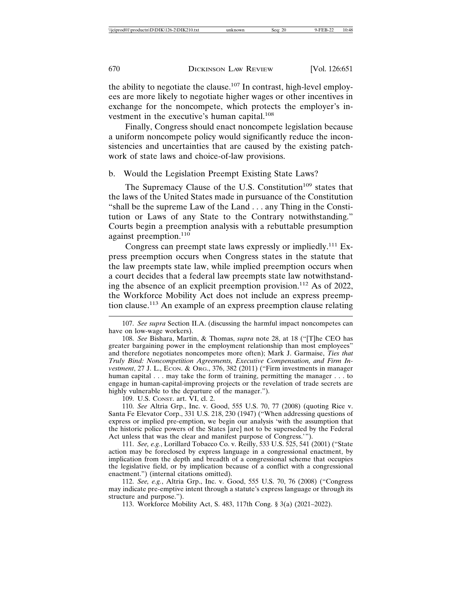the ability to negotiate the clause.<sup>107</sup> In contrast, high-level employees are more likely to negotiate higher wages or other incentives in exchange for the noncompete, which protects the employer's investment in the executive's human capital.<sup>108</sup>

Finally, Congress should enact noncompete legislation because a uniform noncompete policy would significantly reduce the inconsistencies and uncertainties that are caused by the existing patchwork of state laws and choice-of-law provisions.

#### b. Would the Legislation Preempt Existing State Laws?

The Supremacy Clause of the U.S. Constitution<sup>109</sup> states that the laws of the United States made in pursuance of the Constitution "shall be the supreme Law of the Land . . . any Thing in the Constitution or Laws of any State to the Contrary notwithstanding." Courts begin a preemption analysis with a rebuttable presumption against preemption.<sup>110</sup>

Congress can preempt state laws expressly or impliedly.<sup>111</sup> Express preemption occurs when Congress states in the statute that the law preempts state law, while implied preemption occurs when a court decides that a federal law preempts state law notwithstanding the absence of an explicit preemption provision.112 As of 2022, the Workforce Mobility Act does not include an express preemption clause.113 An example of an express preemption clause relating

109. U.S. CONST. art. VI, cl. 2.

110. *See* Altria Grp., Inc. v. Good, 555 U.S. 70, 77 (2008) (quoting Rice v. Santa Fe Elevator Corp., 331 U.S. 218, 230 (1947) ("When addressing questions of express or implied pre-emption, we begin our analysis 'with the assumption that the historic police powers of the States [are] not to be superseded by the Federal Act unless that was the clear and manifest purpose of Congress.'").

111. *See, e.g.*, Lorillard Tobacco Co. v. Reilly, 533 U.S. 525, 541 (2001) ("State action may be foreclosed by express language in a congressional enactment, by implication from the depth and breadth of a congressional scheme that occupies the legislative field, or by implication because of a conflict with a congressional enactment.") (internal citations omitted).

112. *See, e.g.*, Altria Grp., Inc. v. Good, 555 U.S. 70, 76 (2008) ("Congress may indicate pre-emptive intent through a statute's express language or through its structure and purpose.").

113. Workforce Mobility Act, S. 483, 117th Cong. § 3(a) (2021–2022).

<sup>107.</sup> *See supra* Section II.A. (discussing the harmful impact noncompetes can have on low-wage workers).

<sup>108.</sup> *See* Bishara, Martin, & Thomas, *supra* note 28, at 18 ("[T]he CEO has greater bargaining power in the employment relationship than most employees" and therefore negotiates noncompetes more often); Mark J. Garmaise, *Ties that Truly Bind: Noncompetition Agreements, Executive Compensation, and Firm Investment*, 27 J. L., ECON. & ORG., 376, 382 (2011) ("Firm investments in manager human capital . . . may take the form of training, permitting the manager . . . to engage in human-capital-improving projects or the revelation of trade secrets are highly vulnerable to the departure of the manager.").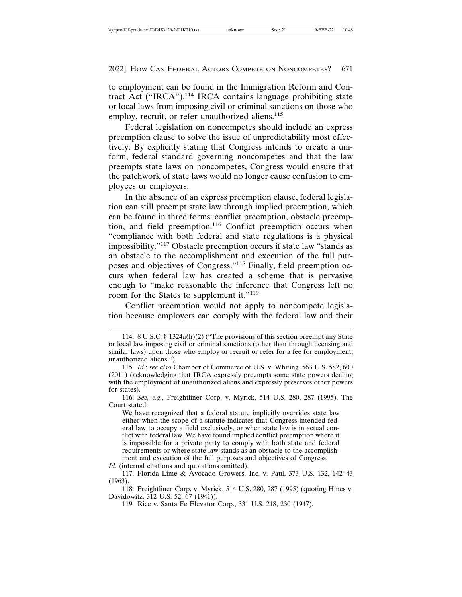to employment can be found in the Immigration Reform and Contract Act ("IRCA").<sup>114</sup> IRCA contains language prohibiting state or local laws from imposing civil or criminal sanctions on those who employ, recruit, or refer unauthorized aliens.<sup>115</sup>

Federal legislation on noncompetes should include an express preemption clause to solve the issue of unpredictability most effectively. By explicitly stating that Congress intends to create a uniform, federal standard governing noncompetes and that the law preempts state laws on noncompetes, Congress would ensure that the patchwork of state laws would no longer cause confusion to employees or employers.

In the absence of an express preemption clause, federal legislation can still preempt state law through implied preemption, which can be found in three forms: conflict preemption, obstacle preemption, and field preemption.<sup>116</sup> Conflict preemption occurs when "compliance with both federal and state regulations is a physical impossibility."117 Obstacle preemption occurs if state law "stands as an obstacle to the accomplishment and execution of the full purposes and objectives of Congress."118 Finally, field preemption occurs when federal law has created a scheme that is pervasive enough to "make reasonable the inference that Congress left no room for the States to supplement it."<sup>119</sup>

Conflict preemption would not apply to noncompete legislation because employers can comply with the federal law and their

*Id.* (internal citations and quotations omitted).

<sup>114. 8</sup> U.S.C. § 1324a(h)(2) ("The provisions of this section preempt any State or local law imposing civil or criminal sanctions (other than through licensing and similar laws) upon those who employ or recruit or refer for a fee for employment, unauthorized aliens.").

<sup>115.</sup> *Id.*; *see also* Chamber of Commerce of U.S. v. Whiting, 563 U.S. 582, 600 (2011) (acknowledging that IRCA expressly preempts some state powers dealing with the employment of unauthorized aliens and expressly preserves other powers for states).

<sup>116.</sup> *See, e.g.*, Freightliner Corp. v. Myrick, 514 U.S. 280, 287 (1995). The Court stated:

We have recognized that a federal statute implicitly overrides state law either when the scope of a statute indicates that Congress intended federal law to occupy a field exclusively, or when state law is in actual conflict with federal law. We have found implied conflict preemption where it is impossible for a private party to comply with both state and federal requirements or where state law stands as an obstacle to the accomplishment and execution of the full purposes and objectives of Congress.

<sup>117.</sup> Florida Lime & Avocado Growers, Inc. v. Paul, 373 U.S. 132, 142–43 (1963).

<sup>118.</sup> Freightliner Corp. v. Myrick, 514 U.S. 280, 287 (1995) (quoting Hines v. Davidowitz, 312 U.S. 52, 67 (1941)).

<sup>119.</sup> Rice v. Santa Fe Elevator Corp., 331 U.S. 218, 230 (1947).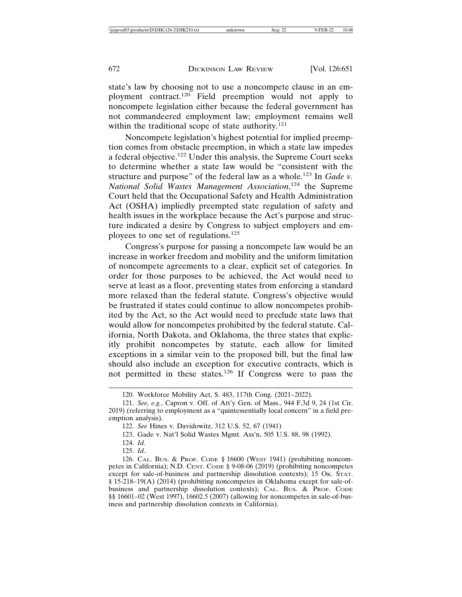state's law by choosing not to use a noncompete clause in an employment contract.120 Field preemption would not apply to noncompete legislation either because the federal government has not commandeered employment law; employment remains well within the traditional scope of state authority.<sup>121</sup>

Noncompete legislation's highest potential for implied preemption comes from obstacle preemption, in which a state law impedes a federal objective.<sup>122</sup> Under this analysis, the Supreme Court seeks to determine whether a state law would be "consistent with the structure and purpose" of the federal law as a whole.123 In *Gade v. National Solid Wastes Management Association*, 124 the Supreme Court held that the Occupational Safety and Health Administration Act (OSHA) impliedly preempted state regulation of safety and health issues in the workplace because the Act's purpose and structure indicated a desire by Congress to subject employers and employees to one set of regulations.<sup>125</sup>

Congress's purpose for passing a noncompete law would be an increase in worker freedom and mobility and the uniform limitation of noncompete agreements to a clear, explicit set of categories. In order for those purposes to be achieved, the Act would need to serve at least as a floor, preventing states from enforcing a standard more relaxed than the federal statute. Congress's objective would be frustrated if states could continue to allow noncompetes prohibited by the Act, so the Act would need to preclude state laws that would allow for noncompetes prohibited by the federal statute. California, North Dakota, and Oklahoma, the three states that explicitly prohibit noncompetes by statute, each allow for limited exceptions in a similar vein to the proposed bill, but the final law should also include an exception for executive contracts, which is not permitted in these states.126 If Congress were to pass the

124. *Id.*

125. *Id*.

<sup>120.</sup> Workforce Mobility Act, S. 483, 117th Cong. (2021–2022).

<sup>121.</sup> *See, e.g.*, Capron v. Off. of Att'y Gen. of Mass., 944 F.3d 9, 24 (1st Cir. 2019) (referring to employment as a "quintessentially local concern" in a field preemption analysis).

<sup>122.</sup> *See* Hines v. Davidowitz, 312 U.S. 52, 67 (1941)

<sup>123.</sup> Gade v. Nat'l Solid Wastes Mgmt. Ass'n, 505 U.S. 88, 98 (1992).

<sup>126.</sup> CAL. BUS. & PROF. CODE § 16600 (WEST 1941) (prohibiting noncompetes in California); N.D. CENT. CODE § 9-08-06 (2019) (prohibiting noncompetes except for sale-of-business and partnership dissolution contexts); 15 Ok. STAT. § 15-218–19(A) (2014) (prohibiting noncompetes in Oklahoma except for sale-ofbusiness and partnership dissolution contexts); CAL. Bus. & PROF. CODE §§ 16601–02 (West 1997), 16602.5 (2007) (allowing for noncompetes in sale-of-business and partnership dissolution contexts in California).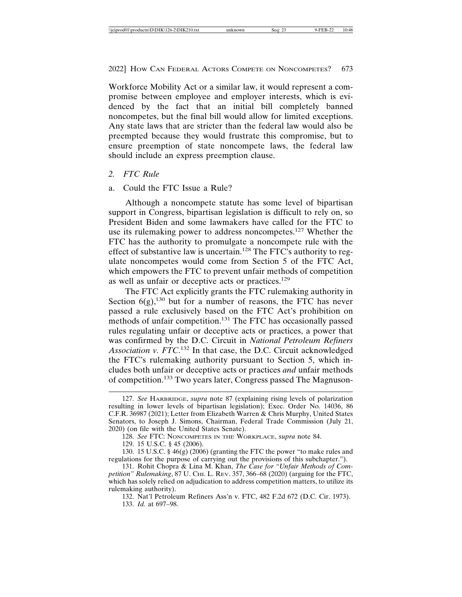Workforce Mobility Act or a similar law, it would represent a compromise between employee and employer interests, which is evidenced by the fact that an initial bill completely banned noncompetes, but the final bill would allow for limited exceptions. Any state laws that are stricter than the federal law would also be preempted because they would frustrate this compromise, but to ensure preemption of state noncompete laws, the federal law should include an express preemption clause.

#### *2. FTC Rule*

#### a. Could the FTC Issue a Rule?

Although a noncompete statute has some level of bipartisan support in Congress, bipartisan legislation is difficult to rely on, so President Biden and some lawmakers have called for the FTC to use its rulemaking power to address noncompetes.<sup>127</sup> Whether the FTC has the authority to promulgate a noncompete rule with the effect of substantive law is uncertain.128 The FTC's authority to regulate noncompetes would come from Section 5 of the FTC Act, which empowers the FTC to prevent unfair methods of competition as well as unfair or deceptive acts or practices.<sup>129</sup>

The FTC Act explicitly grants the FTC rulemaking authority in Section  $6(g)$ ,<sup>130</sup> but for a number of reasons, the FTC has never passed a rule exclusively based on the FTC Act's prohibition on methods of unfair competition.<sup>131</sup> The FTC has occasionally passed rules regulating unfair or deceptive acts or practices, a power that was confirmed by the D.C. Circuit in *National Petroleum Refiners Association v. FTC*. 132 In that case, the D.C. Circuit acknowledged the FTC's rulemaking authority pursuant to Section 5, which includes both unfair or deceptive acts or practices *and* unfair methods of competition.133 Two years later, Congress passed The Magnuson-

<sup>127.</sup> *See* HARBRIDGE, *supra* note 87 (explaining rising levels of polarization resulting in lower levels of bipartisan legislation); Exec. Order No. 14036, 86 C.F.R. 36987 (2021); Letter from Elizabeth Warren & Chris Murphy, United States Senators, to Joseph J. Simons, Chairman, Federal Trade Commission (July 21, 2020) (on file with the United States Senate).

<sup>128.</sup> *See* FTC: NONCOMPETES IN THE WORKPLACE, *supra* note 84.

<sup>129. 15</sup> U.S.C. § 45 (2006).

<sup>130. 15</sup> U.S.C. § 46(g) (2006) (granting the FTC the power "to make rules and regulations for the purpose of carrying out the provisions of this subchapter.").

<sup>131.</sup> Rohit Chopra & Lina M. Khan, *The Case for "Unfair Methods of Competition" Rulemaking*, 87 U. CHI. L. REV. 357, 366–68 (2020) (arguing for the FTC, which has solely relied on adjudication to address competition matters, to utilize its rulemaking authority).

<sup>132.</sup> Nat'l Petroleum Refiners Ass'n v. FTC, 482 F.2d 672 (D.C. Cir. 1973). 133. *Id.* at 697–98.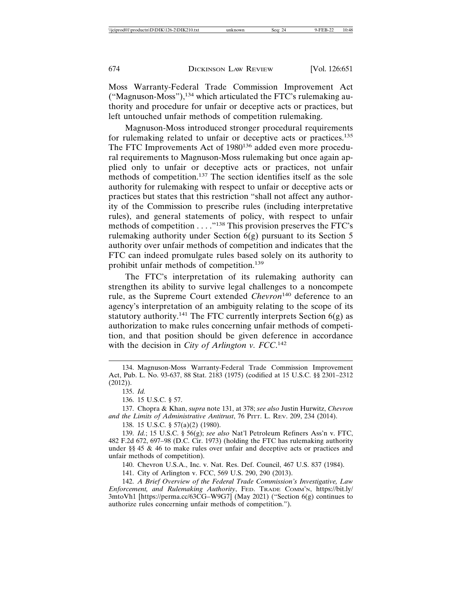Moss Warranty-Federal Trade Commission Improvement Act ("Magnuson-Moss"), $^{134}$  which articulated the FTC's rulemaking authority and procedure for unfair or deceptive acts or practices, but left untouched unfair methods of competition rulemaking.

Magnuson-Moss introduced stronger procedural requirements for rulemaking related to unfair or deceptive acts or practices.<sup>135</sup> The FTC Improvements Act of 1980<sup>136</sup> added even more procedural requirements to Magnuson-Moss rulemaking but once again applied only to unfair or deceptive acts or practices, not unfair methods of competition.137 The section identifies itself as the sole authority for rulemaking with respect to unfair or deceptive acts or practices but states that this restriction "shall not affect any authority of the Commission to prescribe rules (including interpretative rules), and general statements of policy, with respect to unfair methods of competition . . . ."138 This provision preserves the FTC's rulemaking authority under Section  $\vec{b}$ (g) pursuant to its Section 5 authority over unfair methods of competition and indicates that the FTC can indeed promulgate rules based solely on its authority to prohibit unfair methods of competition.<sup>139</sup>

The FTC's interpretation of its rulemaking authority can strengthen its ability to survive legal challenges to a noncompete rule, as the Supreme Court extended *Chevron*140 deference to an agency's interpretation of an ambiguity relating to the scope of its statutory authority.<sup>141</sup> The FTC currently interprets Section  $6(g)$  as authorization to make rules concerning unfair methods of competition, and that position should be given deference in accordance with the decision in *City of Arlington v. FCC*.<sup>142</sup>

135. *Id.*

136. 15 U.S.C. § 57.

137. Chopra & Khan, *supra* note 131, at 378; *see also* Justin Hurwitz, *Chevron and the Limits of Administrative Antitrust*, 76 PITT. L. REV. 209, 234 (2014).

138. 15 U.S.C. § 57(a)(2) (1980).

139. *Id.*; 15 U.S.C. § 56(g); *see also* Nat'l Petroleum Refiners Ass'n v. FTC, 482 F.2d 672, 697–98 (D.C. Cir. 1973) (holding the FTC has rulemaking authority under §§ 45 & 46 to make rules over unfair and deceptive acts or practices and unfair methods of competition).

140. Chevron U.S.A., Inc. v. Nat. Res. Def. Council, 467 U.S. 837 (1984).

141. City of Arlington v. FCC, 569 U.S. 290, 290 (2013).

142. *A Brief Overview of the Federal Trade Commission's Investigative, Law Enforcement, and Rulemaking Authority*, FED. TRADE COMM'N, https://bit.ly/ 3mtoVh1 [https://perma.cc/63CG–W9G7] (May 2021) ("Section 6(g) continues to authorize rules concerning unfair methods of competition.").

<sup>134.</sup> Magnuson-Moss Warranty-Federal Trade Commission Improvement Act, Pub. L. No. 93-637, 88 Stat. 2183 (1975) (codified at 15 U.S.C. §§ 2301–2312 (2012)).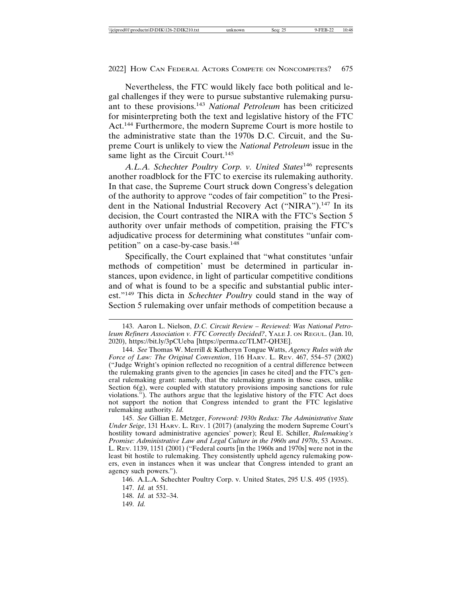Nevertheless, the FTC would likely face both political and legal challenges if they were to pursue substantive rulemaking pursuant to these provisions.<sup>143</sup> *National Petroleum* has been criticized for misinterpreting both the text and legislative history of the FTC Act.144 Furthermore, the modern Supreme Court is more hostile to the administrative state than the 1970s D.C. Circuit, and the Supreme Court is unlikely to view the *National Petroleum* issue in the same light as the Circuit Court.<sup>145</sup>

*A.L.A. Schechter Poultry Corp. v. United States*146 represents another roadblock for the FTC to exercise its rulemaking authority. In that case, the Supreme Court struck down Congress's delegation of the authority to approve "codes of fair competition" to the President in the National Industrial Recovery Act ("NIRA").<sup>147</sup> In its decision, the Court contrasted the NIRA with the FTC's Section 5 authority over unfair methods of competition, praising the FTC's adjudicative process for determining what constitutes "unfair competition" on a case-by-case basis.<sup>148</sup>

Specifically, the Court explained that "what constitutes 'unfair methods of competition' must be determined in particular instances, upon evidence, in light of particular competitive conditions and of what is found to be a specific and substantial public interest."149 This dicta in *Schechter Poultry* could stand in the way of Section 5 rulemaking over unfair methods of competition because a

145. *See* Gillian E. Metzger, *Foreword: 1930s Redux: The Administrative State Under Seige*, 131 HARV. L. REV. 1 (2017) (analyzing the modern Supreme Court's hostility toward administrative agencies' power); Reul E. Schiller, *Rulemaking's Promise: Administrative Law and Legal Culture in the 1960s and 1970s*, 53 ADMIN. L. REV. 1139, 1151 (2001) ("Federal courts [in the 1960s and 1970s] were not in the least bit hostile to rulemaking. They consistently upheld agency rulemaking powers, even in instances when it was unclear that Congress intended to grant an agency such powers.").

<sup>143.</sup> Aaron L. Nielson, *D.C. Circuit Review – Reviewed: Was National Petroleum Refiners Association v. FTC Correctly Decided?*, YALE J. ON REGUL. (Jan. 10, 2020), https://bit.ly/3pCUeba [https://perma.cc/TLM7-QH3E].

<sup>144.</sup> *See* Thomas W. Merrill & Katheryn Tongue Watts, *Agency Rules with the Force of Law: The Original Convention*, 116 HARV. L. REV. 467, 554–57 (2002) ("Judge Wright's opinion reflected no recognition of a central difference between the rulemaking grants given to the agencies [in cases he cited] and the FTC's general rulemaking grant: namely, that the rulemaking grants in those cases, unlike Section 6(g), were coupled with statutory provisions imposing sanctions for rule violations."). The authors argue that the legislative history of the FTC Act does not support the notion that Congress intended to grant the FTC legislative rulemaking authority. *Id.*

<sup>146.</sup> A.L.A. Schechter Poultry Corp. v. United States, 295 U.S. 495 (1935). 147. *Id.* at 551.

<sup>148.</sup> *Id.* at 532–34.

<sup>149.</sup> *Id.*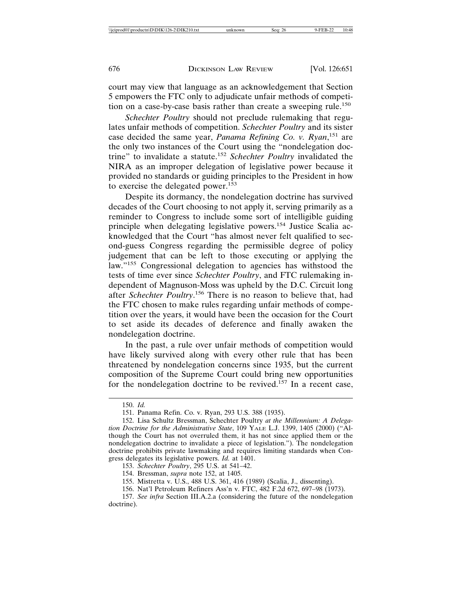court may view that language as an acknowledgement that Section 5 empowers the FTC only to adjudicate unfair methods of competition on a case-by-case basis rather than create a sweeping rule.<sup>150</sup>

*Schechter Poultry* should not preclude rulemaking that regulates unfair methods of competition. *Schechter Poultry* and its sister case decided the same year, *Panama Refining Co. v. Ryan*, 151 are the only two instances of the Court using the "nondelegation doctrine" to invalidate a statute.<sup>152</sup> *Schechter Poultry* invalidated the NIRA as an improper delegation of legislative power because it provided no standards or guiding principles to the President in how to exercise the delegated power.<sup>153</sup>

Despite its dormancy, the nondelegation doctrine has survived decades of the Court choosing to not apply it, serving primarily as a reminder to Congress to include some sort of intelligible guiding principle when delegating legislative powers.154 Justice Scalia acknowledged that the Court "has almost never felt qualified to second-guess Congress regarding the permissible degree of policy judgement that can be left to those executing or applying the law."<sup>155</sup> Congressional delegation to agencies has withstood the tests of time ever since *Schechter Poultry*, and FTC rulemaking independent of Magnuson-Moss was upheld by the D.C. Circuit long after *Schechter Poultry*. 156 There is no reason to believe that, had the FTC chosen to make rules regarding unfair methods of competition over the years, it would have been the occasion for the Court to set aside its decades of deference and finally awaken the nondelegation doctrine.

In the past, a rule over unfair methods of competition would have likely survived along with every other rule that has been threatened by nondelegation concerns since 1935, but the current composition of the Supreme Court could bring new opportunities for the nondelegation doctrine to be revived.<sup>157</sup> In a recent case,

155. Mistretta v. U.S., 488 U.S. 361, 416 (1989) (Scalia, J., dissenting).

<sup>150.</sup> *Id.*

<sup>151.</sup> Panama Refin. Co. v. Ryan, 293 U.S. 388 (1935).

<sup>152.</sup> Lisa Schultz Bressman, Schechter Poultry *at the Millennium: A Delegation Doctrine for the Administrative State*, 109 YALE L.J. 1399, 1405 (2000) ("Although the Court has not overruled them, it has not since applied them or the nondelegation doctrine to invalidate a piece of legislation."). The nondelegation doctrine prohibits private lawmaking and requires limiting standards when Congress delegates its legislative powers. *Id.* at 1401.

<sup>153.</sup> *Schechter Poultry*, 295 U.S. at 541–42.

<sup>154.</sup> Bressman, *supra* note 152, at 1405.

<sup>156.</sup> Nat'l Petroleum Refiners Ass'n v. FTC, 482 F.2d 672, 697–98 (1973).

<sup>157.</sup> *See infra* Section III.A.2.a (considering the future of the nondelegation doctrine).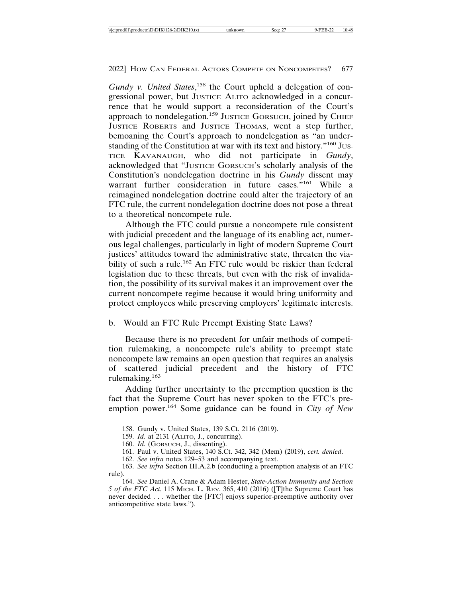Gundy v. United States,<sup>158</sup> the Court upheld a delegation of congressional power, but JUSTICE ALITO acknowledged in a concurrence that he would support a reconsideration of the Court's approach to nondelegation.<sup>159</sup> JUSTICE GORSUCH, joined by CHIEF JUSTICE ROBERTS and JUSTICE THOMAS, went a step further, bemoaning the Court's approach to nondelegation as "an understanding of the Constitution at war with its text and history."<sup>160</sup> Jus-TICE KAVANAUGH, who did not participate in *Gundy*, acknowledged that "JUSTICE GORSUCH'S scholarly analysis of the Constitution's nondelegation doctrine in his *Gundy* dissent may warrant further consideration in future cases."<sup>161</sup> While a reimagined nondelegation doctrine could alter the trajectory of an FTC rule, the current nondelegation doctrine does not pose a threat to a theoretical noncompete rule.

Although the FTC could pursue a noncompete rule consistent with judicial precedent and the language of its enabling act, numerous legal challenges, particularly in light of modern Supreme Court justices' attitudes toward the administrative state, threaten the viability of such a rule.<sup>162</sup> An FTC rule would be riskier than federal legislation due to these threats, but even with the risk of invalidation, the possibility of its survival makes it an improvement over the current noncompete regime because it would bring uniformity and protect employees while preserving employers' legitimate interests.

#### b. Would an FTC Rule Preempt Existing State Laws?

Because there is no precedent for unfair methods of competition rulemaking, a noncompete rule's ability to preempt state noncompete law remains an open question that requires an analysis of scattered judicial precedent and the history of FTC rulemaking.<sup>163</sup>

Adding further uncertainty to the preemption question is the fact that the Supreme Court has never spoken to the FTC's preemption power.<sup>164</sup> Some guidance can be found in *City of New* 

<sup>158.</sup> Gundy v. United States, 139 S.Ct. 2116 (2019).

<sup>159.</sup> *Id.* at 2131 (ALITO, J., concurring).

<sup>160.</sup> *Id.* (GORSUCH, J., dissenting).

<sup>161.</sup> Paul v. United States, 140 S.Ct. 342, 342 (Mem) (2019), *cert. denied*.

<sup>162.</sup> *See infra* notes 129–53 and accompanying text.

<sup>163.</sup> *See infra* Section III.A.2.b (conducting a preemption analysis of an FTC rule).

<sup>164.</sup> *See* Daniel A. Crane & Adam Hester, *State-Action Immunity and Section 5 of the FTC Act*, 115 Mich. L. Rev. 365, 410 (2016) ([T]the Supreme Court has never decided . . . whether the [FTC] enjoys superior-preemptive authority over anticompetitive state laws.").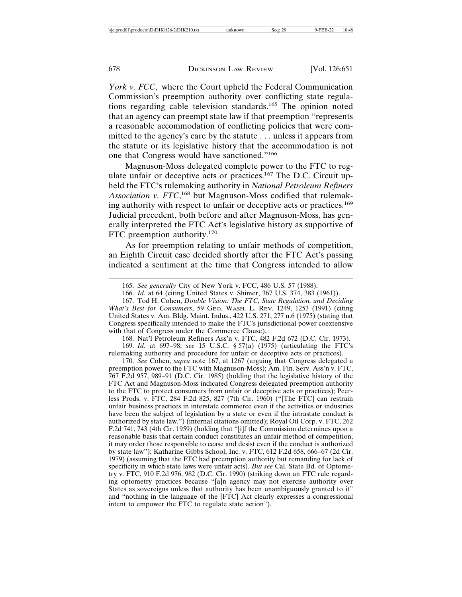*York v. FCC*, where the Court upheld the Federal Communication Commission's preemption authority over conflicting state regulations regarding cable television standards.165 The opinion noted that an agency can preempt state law if that preemption "represents a reasonable accommodation of conflicting policies that were committed to the agency's care by the statute . . . unless it appears from the statute or its legislative history that the accommodation is not one that Congress would have sanctioned."<sup>166</sup>

Magnuson-Moss delegated complete power to the FTC to regulate unfair or deceptive acts or practices.<sup>167</sup> The D.C. Circuit upheld the FTC's rulemaking authority in *National Petroleum Refiners* Association v. FTC,<sup>168</sup> but Magnuson-Moss codified that rulemaking authority with respect to unfair or deceptive acts or practices.<sup>169</sup> Judicial precedent, both before and after Magnuson-Moss, has generally interpreted the FTC Act's legislative history as supportive of FTC preemption authority.<sup>170</sup>

As for preemption relating to unfair methods of competition, an Eighth Circuit case decided shortly after the FTC Act's passing indicated a sentiment at the time that Congress intended to allow

168. Nat'l Petroleum Refiners Ass'n v. FTC, 482 F.2d 672 (D.C. Cir. 1973).

169. *Id.* at 697–98; *see* 15 U.S.C. § 57(a) (1975) (articulating the FTC's rulemaking authority and procedure for unfair or deceptive acts or practices).

170. *See* Cohen, *supra* note 167, at 1267 (arguing that Congress delegated a preemption power to the FTC with Magnuson-Moss); Am. Fin. Serv. Ass'n v. FTC, 767 F.2d 957, 989–91 (D.C. Cir. 1985) (holding that the legislative history of the FTC Act and Magnuson-Moss indicated Congress delegated preemption authority to the FTC to protect consumers from unfair or deceptive acts or practices); Peerless Prods. v. FTC, 284 F.2d 825, 827 (7th Cir. 1960) ("[The FTC] can restrain unfair business practices in interstate commerce even if the activities or industries have been the subject of legislation by a state or even if the intrastate conduct is authorized by state law.") (internal citations omitted); Royal Oil Corp. v. FTC, 262 F.2d 741, 743 (4th Cir. 1959) (holding that "[i]f the Commission determines upon a reasonable basis that certain conduct constitutes an unfair method of competition, it may order those responsible to cease and desist even if the conduct is authorized by state law"); Katharine Gibbs School, Inc. v. FTC, 612 F.2d 658, 666–67 (2d Cir. 1979) (assuming that the FTC had preemption authority but remanding for lack of specificity in which state laws were unfair acts). *But see* Cal. State Bd. of Optometry v. FTC, 910 F.2d 976, 982 (D.C. Cir. 1990) (striking down an FTC rule regarding optometry practices because "[a]n agency may not exercise authority over States as sovereigns unless that authority has been unambiguously granted to it" and "nothing in the language of the [FTC] Act clearly expresses a congressional intent to empower the FTC to regulate state action").

<sup>165.</sup> *See generally* City of New York v. FCC, 486 U.S. 57 (1988).

<sup>166.</sup> *Id.* at 64 (citing United States v. Shimer, 367 U.S. 374, 383 (1961)).

<sup>167.</sup> Tod H. Cohen, *Double Vision: The FTC, State Regulation, and Deciding What's Best for Consumers*, 59 GEO. WASH. L. REV. 1249, 1253 (1991) (citing United States v. Am. Bldg. Maint. Indus., 422 U.S. 271, 277 n.6 (1975) (stating that Congress specifically intended to make the FTC's jurisdictional power coextensive with that of Congress under the Commerce Clause).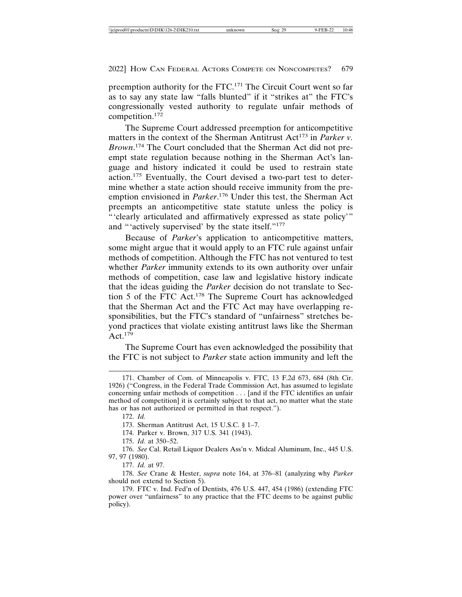preemption authority for the FTC.171 The Circuit Court went so far as to say any state law "falls blunted" if it "strikes at" the FTC's congressionally vested authority to regulate unfair methods of competition.172

The Supreme Court addressed preemption for anticompetitive matters in the context of the Sherman Antitrust Act<sup>173</sup> in *Parker v*. *Brown*. 174 The Court concluded that the Sherman Act did not preempt state regulation because nothing in the Sherman Act's language and history indicated it could be used to restrain state action.175 Eventually, the Court devised a two-part test to determine whether a state action should receive immunity from the preemption envisioned in *Parker*. 176 Under this test, the Sherman Act preempts an anticompetitive state statute unless the policy is "'clearly articulated and affirmatively expressed as state policy'" and "'actively supervised' by the state itself."<sup>177</sup>

Because of *Parker*'s application to anticompetitive matters, some might argue that it would apply to an FTC rule against unfair methods of competition. Although the FTC has not ventured to test whether *Parker* immunity extends to its own authority over unfair methods of competition, case law and legislative history indicate that the ideas guiding the *Parker* decision do not translate to Section 5 of the FTC Act.178 The Supreme Court has acknowledged that the Sherman Act and the FTC Act may have overlapping responsibilities, but the FTC's standard of "unfairness" stretches beyond practices that violate existing antitrust laws like the Sherman Act.  $179$ 

The Supreme Court has even acknowledged the possibility that the FTC is not subject to *Parker* state action immunity and left the

<sup>171.</sup> Chamber of Com. of Minneapolis v. FTC, 13 F.2d 673, 684 (8th Cir. 1926) ("Congress, in the Federal Trade Commission Act, has assumed to legislate concerning unfair methods of competition . . . [and if the FTC identifies an unfair method of competition] it is certainly subject to that act, no matter what the state has or has not authorized or permitted in that respect.").

<sup>172.</sup> *Id.*

<sup>173.</sup> Sherman Antitrust Act, 15 U.S.C. § 1–7.

<sup>174.</sup> Parker v. Brown, 317 U.S. 341 (1943).

<sup>175.</sup> *Id.* at 350–52.

<sup>176.</sup> *See* Cal. Retail Liquor Dealers Ass'n v. Midcal Aluminum, Inc., 445 U.S. 97, 97 (1980).

<sup>177.</sup> *Id.* at 97.

<sup>178.</sup> *See* Crane & Hester, *supra* note 164, at 376–81 (analyzing why *Parker* should not extend to Section 5).

<sup>179.</sup> FTC v. Ind. Fed'n of Dentists, 476 U.S. 447, 454 (1986) (extending FTC power over "unfairness" to any practice that the FTC deems to be against public policy).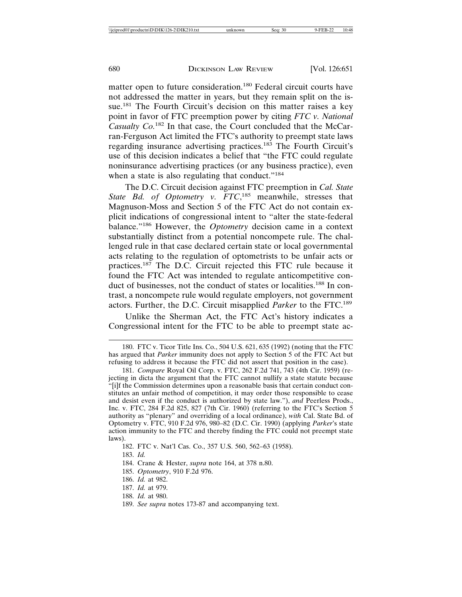matter open to future consideration.180 Federal circuit courts have not addressed the matter in years, but they remain split on the issue.<sup>181</sup> The Fourth Circuit's decision on this matter raises a key point in favor of FTC preemption power by citing *FTC v. National Casualty Co.*182 In that case, the Court concluded that the McCarran-Ferguson Act limited the FTC's authority to preempt state laws regarding insurance advertising practices.183 The Fourth Circuit's use of this decision indicates a belief that "the FTC could regulate noninsurance advertising practices (or any business practice), even when a state is also regulating that conduct."<sup>184</sup>

The D.C. Circuit decision against FTC preemption in *Cal. State* State Bd. of Optometry v. FTC,<sup>185</sup> meanwhile, stresses that Magnuson-Moss and Section 5 of the FTC Act do not contain explicit indications of congressional intent to "alter the state-federal balance."186 However, the *Optometry* decision came in a context substantially distinct from a potential noncompete rule. The challenged rule in that case declared certain state or local governmental acts relating to the regulation of optometrists to be unfair acts or practices.187 The D.C. Circuit rejected this FTC rule because it found the FTC Act was intended to regulate anticompetitive conduct of businesses, not the conduct of states or localities.<sup>188</sup> In contrast, a noncompete rule would regulate employers, not government actors. Further, the D.C. Circuit misapplied *Parker* to the FTC.<sup>189</sup>

Unlike the Sherman Act, the FTC Act's history indicates a Congressional intent for the FTC to be able to preempt state ac-

- 185. *Optometry*, 910 F.2d 976.
- 186. *Id.* at 982.
- 187. *Id.* at 979.
- 188. *Id.* at 980.

<sup>180.</sup> FTC v. Ticor Title Ins. Co., 504 U.S. 621, 635 (1992) (noting that the FTC has argued that *Parker* immunity does not apply to Section 5 of the FTC Act but refusing to address it because the FTC did not assert that position in the case).

<sup>181.</sup> *Compare* Royal Oil Corp. v. FTC, 262 F.2d 741, 743 (4th Cir. 1959) (rejecting in dicta the argument that the FTC cannot nullify a state statute because "[i]f the Commission determines upon a reasonable basis that certain conduct constitutes an unfair method of competition, it may order those responsible to cease and desist even if the conduct is authorized by state law."), *and* Peerless Prods., Inc. v. FTC, 284 F.2d 825, 827 (7th Cir. 1960) (referring to the FTC's Section 5 authority as "plenary" and overriding of a local ordinance), *with* Cal. State Bd. of Optometry v. FTC, 910 F.2d 976, 980–82 (D.C. Cir. 1990) (applying *Parker*'s state action immunity to the FTC and thereby finding the FTC could not preempt state laws).

<sup>182.</sup> FTC v. Nat'l Cas. Co., 357 U.S. 560, 562–63 (1958).

<sup>183.</sup> *Id.*

<sup>184.</sup> Crane & Hester, *supra* note 164, at 378 n.80.

<sup>189.</sup> *See supra* notes 173-87 and accompanying text.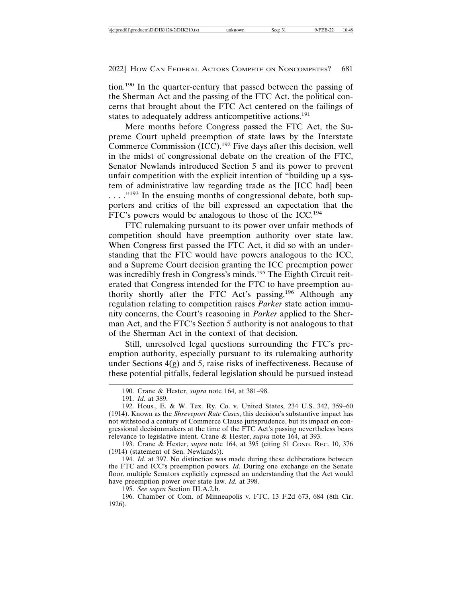tion.190 In the quarter-century that passed between the passing of the Sherman Act and the passing of the FTC Act, the political concerns that brought about the FTC Act centered on the failings of states to adequately address anticompetitive actions.<sup>191</sup>

Mere months before Congress passed the FTC Act, the Supreme Court upheld preemption of state laws by the Interstate Commerce Commission (ICC).192 Five days after this decision, well in the midst of congressional debate on the creation of the FTC, Senator Newlands introduced Section 5 and its power to prevent unfair competition with the explicit intention of "building up a system of administrative law regarding trade as the [ICC had] been . . . . . "<sup>193</sup> In the ensuing months of congressional debate, both supporters and critics of the bill expressed an expectation that the FTC's powers would be analogous to those of the ICC.<sup>194</sup>

FTC rulemaking pursuant to its power over unfair methods of competition should have preemption authority over state law. When Congress first passed the FTC Act, it did so with an understanding that the FTC would have powers analogous to the ICC, and a Supreme Court decision granting the ICC preemption power was incredibly fresh in Congress's minds.<sup>195</sup> The Eighth Circuit reiterated that Congress intended for the FTC to have preemption authority shortly after the FTC Act's passing.196 Although any regulation relating to competition raises *Parker* state action immunity concerns, the Court's reasoning in *Parker* applied to the Sherman Act, and the FTC's Section 5 authority is not analogous to that of the Sherman Act in the context of that decision.

Still, unresolved legal questions surrounding the FTC's preemption authority, especially pursuant to its rulemaking authority under Sections  $4(g)$  and 5, raise risks of ineffectiveness. Because of these potential pitfalls, federal legislation should be pursued instead

193. Crane & Hester, *supra* note 164, at 395 (citing 51 CONG. REC. 10, 376 (1914) (statement of Sen. Newlands)).

194. *Id.* at 397. No distinction was made during these deliberations between the FTC and ICC's preemption powers. *Id.* During one exchange on the Senate floor, multiple Senators explicitly expressed an understanding that the Act would have preemption power over state law. *Id.* at 398.

195. *See supra* Section III.A.2.b.

196. Chamber of Com. of Minneapolis v. FTC, 13 F.2d 673, 684 (8th Cir. 1926).

<sup>190.</sup> Crane & Hester, *supra* note 164, at 381–98.

<sup>191.</sup> *Id.* at 389.

<sup>192.</sup> Hous., E. & W. Tex. Ry. Co. v. United States, 234 U.S. 342, 359–60 (1914). Known as the *Shreveport Rate Cases*, this decision's substantive impact has not withstood a century of Commerce Clause jurisprudence, but its impact on congressional decisionmakers at the time of the FTC Act's passing nevertheless bears relevance to legislative intent. Crane & Hester, *supra* note 164, at 393.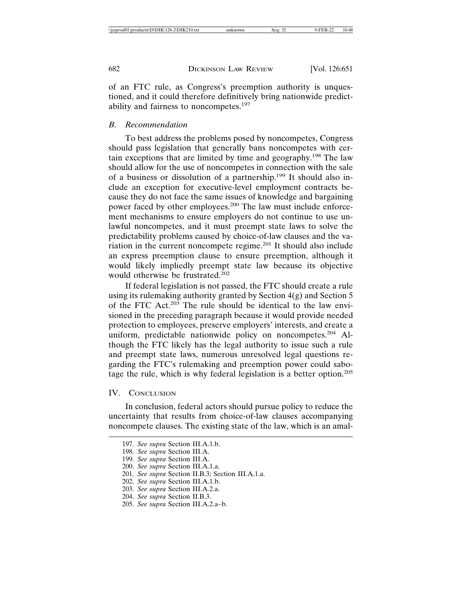of an FTC rule, as Congress's preemption authority is unquestioned, and it could therefore definitively bring nationwide predictability and fairness to noncompetes.<sup>197</sup>

#### *B. Recommendation*

To best address the problems posed by noncompetes, Congress should pass legislation that generally bans noncompetes with certain exceptions that are limited by time and geography.198 The law should allow for the use of noncompetes in connection with the sale of a business or dissolution of a partnership.199 It should also include an exception for executive-level employment contracts because they do not face the same issues of knowledge and bargaining power faced by other employees.200 The law must include enforcement mechanisms to ensure employers do not continue to use unlawful noncompetes, and it must preempt state laws to solve the predictability problems caused by choice-of-law clauses and the variation in the current noncompete regime.201 It should also include an express preemption clause to ensure preemption, although it would likely impliedly preempt state law because its objective would otherwise be frustrated.<sup>202</sup>

If federal legislation is not passed, the FTC should create a rule using its rulemaking authority granted by Section 4(g) and Section 5 of the FTC Act. $203$  The rule should be identical to the law envisioned in the preceding paragraph because it would provide needed protection to employees, preserve employers' interests, and create a uniform, predictable nationwide policy on noncompetes.<sup>204</sup> Although the FTC likely has the legal authority to issue such a rule and preempt state laws, numerous unresolved legal questions regarding the FTC's rulemaking and preemption power could sabotage the rule, which is why federal legislation is a better option.<sup>205</sup>

#### IV. CONCLUSION

In conclusion, federal actors should pursue policy to reduce the uncertainty that results from choice-of-law clauses accompanying noncompete clauses. The existing state of the law, which is an amal-

<sup>197.</sup> *See supra* Section III.A.1.b.

<sup>198.</sup> *See supra* Section III.A.

<sup>199.</sup> *See supra* Section III.A.

<sup>200.</sup> *See supra* Section III.A.1.a.

<sup>201.</sup> *See supra* Section II.B.3; Section III.A.1.a.

<sup>202.</sup> *See supra* Section III.A.1.b.

<sup>203.</sup> *See supra* Section III.A.2.a.

<sup>204.</sup> *See supra* Section II.B.3.

<sup>205.</sup> *See supra* Section III.A.2.a–b.